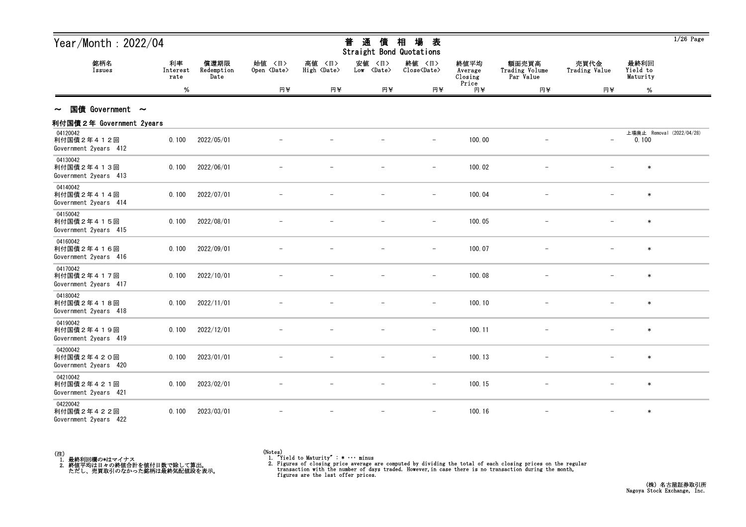| Year/Month: 2022/04                             |                        |                            |                              |                                 | 普<br>通<br>債<br>Straight Bond Quotations | 場<br>相<br>表                   |                            |                                      |                          |                              | $1/26$ Page               |
|-------------------------------------------------|------------------------|----------------------------|------------------------------|---------------------------------|-----------------------------------------|-------------------------------|----------------------------|--------------------------------------|--------------------------|------------------------------|---------------------------|
| 銘柄名<br>Issues                                   | 利率<br>Interest<br>rate | 償還期限<br>Redemption<br>Date | 始值 〈日〉<br>Open <date></date> | 高値<br>〈日〉<br>High <date></date> | 安値 〈日〉<br>Low <date></date>             | 終値 〈日〉<br>Close <date></date> | 終値平均<br>Average<br>Closing | 額面売買高<br>Trading Volume<br>Par Value | 売買代金<br>Trading Value    | 最終利回<br>Yield to<br>Maturity |                           |
|                                                 | %                      |                            | 円半                           | 円半                              | 円半                                      | 円半                            | Price<br>円半                | 円半                                   | 円半                       | $\%$                         |                           |
| 国債 Government $\sim$<br>$\sim$                  |                        |                            |                              |                                 |                                         |                               |                            |                                      |                          |                              |                           |
| 利付国債2年 Government 2years                        |                        |                            |                              |                                 |                                         |                               |                            |                                      |                          |                              |                           |
| 04120042<br>利付国債2年412回<br>Government 2years 412 | 0.100                  | 2022/05/01                 |                              |                                 |                                         | $\overline{\phantom{m}}$      | 100.00                     |                                      | $\overline{\phantom{0}}$ | 0.100                        | 上場廃止 Removal (2022/04/28) |
| 04130042<br>利付国債2年413回<br>Government 2years 413 | 0.100                  | 2022/06/01                 |                              |                                 |                                         | $\overline{\phantom{0}}$      | 100.02                     |                                      |                          | $\ast$                       |                           |
| 04140042<br>利付国債2年414回<br>Government 2years 414 | 0.100                  | 2022/07/01                 |                              |                                 |                                         | $\qquad \qquad -$             | 100.04                     |                                      |                          | $\ast$                       |                           |
| 04150042<br>利付国債2年415回<br>Government 2years 415 | 0.100                  | 2022/08/01                 |                              |                                 |                                         | $\overline{\phantom{m}}$      | 100.05                     |                                      |                          | $\ast$                       |                           |
| 04160042<br>利付国債2年416回<br>Government 2years 416 | 0.100                  | 2022/09/01                 |                              |                                 |                                         | $\qquad \qquad -$             | 100.07                     |                                      |                          | $\ast$                       |                           |
| 04170042<br>利付国債2年417回<br>Government 2years 417 | 0.100                  | 2022/10/01                 |                              |                                 |                                         | $\overline{\phantom{m}}$      | 100.08                     |                                      |                          | $\ast$                       |                           |
| 04180042<br>利付国債2年418回<br>Government 2years 418 | 0.100                  | 2022/11/01                 |                              |                                 |                                         | $\overline{\phantom{a}}$      | 100.10                     |                                      |                          | $\ast$                       |                           |
| 04190042<br>利付国債2年419回<br>Government 2years 419 | 0.100                  | 2022/12/01                 |                              |                                 |                                         | $-$                           | 100.11                     | $\qquad \qquad -$                    |                          | $\ast$                       |                           |
| 04200042<br>利付国債2年420回<br>Government 2years 420 | 0.100                  | 2023/01/01                 |                              |                                 |                                         |                               | 100.13                     |                                      |                          |                              |                           |
| 04210042<br>利付国債2年421回<br>Government 2years 421 | 0.100                  | 2023/02/01                 |                              |                                 |                                         | $\qquad \qquad -$             | 100.15                     |                                      |                          | $\ast$                       |                           |
| 04220042<br>利付国債2年422回<br>Government 2years 422 | 0.100                  | 2023/03/01                 |                              |                                 |                                         | $\overline{\phantom{0}}$      | 100.16                     |                                      |                          | $\ast$                       |                           |



<sup>(</sup>Notes) 1. "Yield to Maturity" : \* ・・・ minus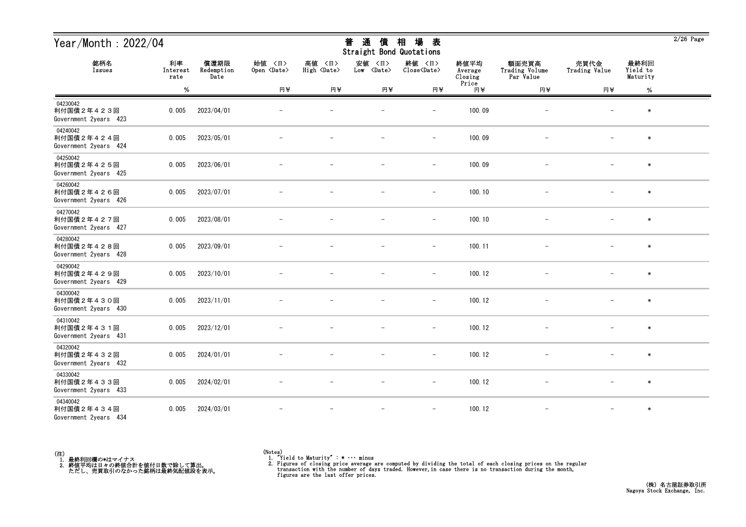| Year/Month: 2022/04                             |                        |                            |                              |                              | 通<br>普<br>債<br>Straight Bond Quotations | 場<br>相<br>表                   |                            |                                      |                          |                              | $2/26$ Page |
|-------------------------------------------------|------------------------|----------------------------|------------------------------|------------------------------|-----------------------------------------|-------------------------------|----------------------------|--------------------------------------|--------------------------|------------------------------|-------------|
| 銘柄名<br>Issues                                   | 利率<br>Interest<br>rate | 償還期限<br>Redemption<br>Date | 始値 〈日〉<br>Open <date></date> | 高値 〈日〉<br>High <date></date> | 安値<br>〈日〉<br>Low <date></date>          | 終値 〈日〉<br>Close <date></date> | 終値平均<br>Average<br>Closing | 額面売買高<br>Trading Volume<br>Par Value | 売買代金<br>Trading Value    | 最終利回<br>Yield to<br>Maturity |             |
|                                                 | $\%$                   |                            | 円半                           | 円半                           | 円半                                      | 円半                            | Price<br>円半                | 円半                                   | 円半                       | $\%$                         |             |
| 04230042<br>利付国債2年423回<br>Government 2years 423 | 0.005                  | 2023/04/01                 |                              |                              |                                         |                               | 100.09                     |                                      |                          | $\ast$                       |             |
| 04240042<br>利付国債2年424回<br>Government 2years 424 | 0.005                  | 2023/05/01                 |                              |                              |                                         | $\overline{\phantom{a}}$      | 100.09                     | $\overline{\phantom{m}}$             |                          | $\ast$                       |             |
| 04250042<br>利付国債2年425回<br>Government 2years 425 | 0.005                  | 2023/06/01                 |                              |                              |                                         | $\overline{\phantom{m}}$      | 100.09                     |                                      |                          | $\ast$                       |             |
| 04260042<br>利付国債2年426回<br>Government 2years 426 | 0.005                  | 2023/07/01                 |                              |                              |                                         | $\overline{\phantom{a}}$      | 100.10                     |                                      |                          | $\ast$                       |             |
| 04270042<br>利付国債2年427回<br>Government 2years 427 | 0.005                  | 2023/08/01                 |                              |                              |                                         | $\overline{\phantom{m}}$      | 100.10                     |                                      |                          | $\ast$                       |             |
| 04280042<br>利付国債2年428回<br>Government 2years 428 | 0.005                  | 2023/09/01                 |                              |                              |                                         | $\overline{\phantom{m}}$      | 100.11                     | $\overline{\phantom{m}}$             |                          | $\ast$                       |             |
| 04290042<br>利付国債2年429回<br>Government 2years 429 | 0.005                  | 2023/10/01                 |                              |                              |                                         | $\overline{\phantom{a}}$      | 100.12                     |                                      |                          | $\ast$                       |             |
| 04300042<br>利付国債2年430回<br>Government 2years 430 | 0.005                  | 2023/11/01                 |                              |                              |                                         | $\overline{\phantom{a}}$      | 100.12                     |                                      |                          | $\ast$                       |             |
| 04310042<br>利付国債2年431回<br>Government 2years 431 | 0.005                  | 2023/12/01                 |                              |                              |                                         |                               | 100.12                     |                                      |                          | $\ast$                       |             |
| 04320042<br>利付国債2年432回<br>Government 2years 432 | 0.005                  | 2024/01/01                 |                              |                              | $\overline{\phantom{m}}$                | $\overline{\phantom{m}}$      | 100.12                     |                                      | $\overline{\phantom{m}}$ | $\ast$                       |             |
| 04330042<br>利付国債2年433回<br>Government 2years 433 | 0.005                  | 2024/02/01                 | $\overline{\phantom{m}}$     | $\overline{\phantom{m}}$     | $\overline{\phantom{m}}$                | $-$                           | 100.12                     | $-$                                  | $-$                      | $\ast$                       |             |
| 04340042<br>利付国債2年434回<br>Government 2years 434 | 0.005                  | 2024/03/01                 |                              |                              | $\overline{\phantom{m}}$                | $\overline{\phantom{m}}$      | 100.12                     | $\overline{\phantom{a}}$             | $-$                      | $\ast$                       |             |



<sup>(</sup>Notes) 1. "Yield to Maturity" : \* ・・・ minus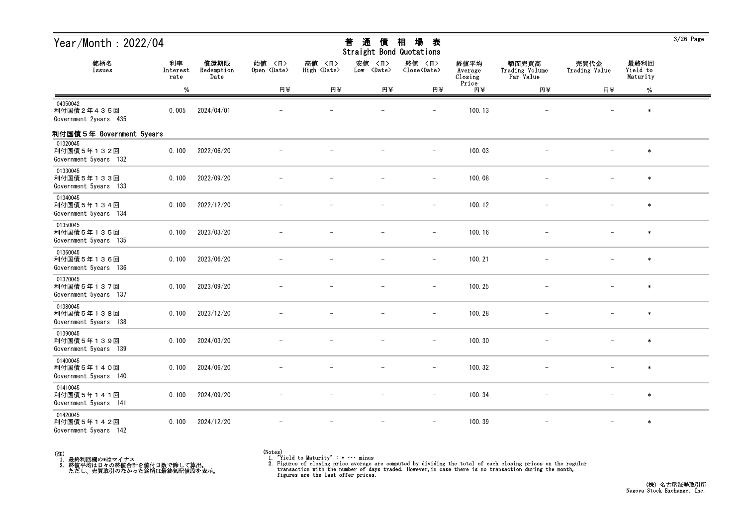| Year/Month: 2022/04                             |                        |                            |                              |                              | 普<br>通<br>債<br>Straight Bond Quotations | 場<br>相<br>表                           |                                     |                                      |                       |                              | $3/26$ Page |
|-------------------------------------------------|------------------------|----------------------------|------------------------------|------------------------------|-----------------------------------------|---------------------------------------|-------------------------------------|--------------------------------------|-----------------------|------------------------------|-------------|
| 銘柄名<br>Issues                                   | 利率<br>Interest<br>rate | 償還期限<br>Redemption<br>Date | 始値 〈日〉<br>Open <date></date> | 高値 〈日〉<br>High <date></date> | 安値<br>〈日〉<br>Low <date></date>          | 終値 〈日〉<br>$Close\langle Date \rangle$ | 終値平均<br>Average<br>Closing<br>Price | 額面売買高<br>Trading Volume<br>Par Value | 売買代金<br>Trading Value | 最終利回<br>Yield to<br>Maturity |             |
|                                                 | %                      |                            | 円半                           | 円半                           | 円半                                      | 円半                                    | 円半                                  | 円半                                   | 円半                    | $\%$                         |             |
| 04350042<br>利付国債2年435回<br>Government 2years 435 | 0.005                  | 2024/04/01                 |                              |                              |                                         | $\overline{\phantom{0}}$              | 100.13                              |                                      |                       | $\ast$                       |             |
| 利付国債5年 Government 5years                        |                        |                            |                              |                              |                                         |                                       |                                     |                                      |                       |                              |             |
| 01320045<br>利付国債5年132回<br>Government 5years 132 | 0.100                  | 2022/06/20                 |                              |                              |                                         |                                       | 100.03                              |                                      |                       | $\ast$                       |             |
| 01330045<br>利付国債5年133回<br>Government 5years 133 | 0.100                  | 2022/09/20                 |                              |                              |                                         | $\overline{\phantom{0}}$              | 100.08                              |                                      |                       | $\ast$                       |             |
| 01340045<br>利付国債5年134回<br>Government 5years 134 | 0.100                  | 2022/12/20                 |                              |                              |                                         | $\overline{\phantom{m}}$              | 100.12                              |                                      |                       | $\ast$                       |             |
| 01350045<br>利付国債5年135回<br>Government 5years 135 | 0.100                  | 2023/03/20                 |                              |                              |                                         | $\overline{\phantom{0}}$              | 100.16                              |                                      |                       | $\ast$                       |             |
| 01360045<br>利付国債5年136回<br>Government 5years 136 | 0.100                  | 2023/06/20                 |                              |                              |                                         |                                       | 100.21                              |                                      |                       | $\ast$                       |             |
| 01370045<br>利付国債5年137回<br>Government 5years 137 | 0.100                  | 2023/09/20                 |                              |                              |                                         | $\overline{\phantom{0}}$              | 100.25                              |                                      |                       | $\ast$                       |             |
| 01380045<br>利付国債5年138回<br>Government 5years 138 | 0.100                  | 2023/12/20                 |                              |                              |                                         | $\overline{\phantom{m}}$              | 100.28                              |                                      |                       | $\ast$                       |             |
| 01390045<br>利付国債5年139回<br>Government 5years 139 | 0.100                  | 2024/03/20                 |                              |                              |                                         | $\overline{\phantom{m}}$              | 100.30                              |                                      | $-$                   | $\ast$                       |             |
| 01400045<br>利付国債5年140回<br>Government 5years 140 | 0.100                  | 2024/06/20                 |                              |                              |                                         |                                       | 100.32                              |                                      |                       | $\ast$                       |             |
| 01410045<br>利付国債5年141回<br>Government 5years 141 | 0.100                  | 2024/09/20                 |                              |                              |                                         | $\overline{\phantom{m}}$              | 100.34                              | $\qquad \qquad -$                    | $\qquad \qquad -$     | $\ast$                       |             |
| 01420045<br>利付国債5年142回<br>Government 5years 142 | 0.100                  | 2024/12/20                 |                              |                              |                                         | $\overline{\phantom{a}}$              | 100.39                              | $\overline{\phantom{a}}$             | $ \,$                 | $\ast$                       |             |



<sup>(</sup>Notes) 1. "Yield to Maturity" : \* ・・・ minus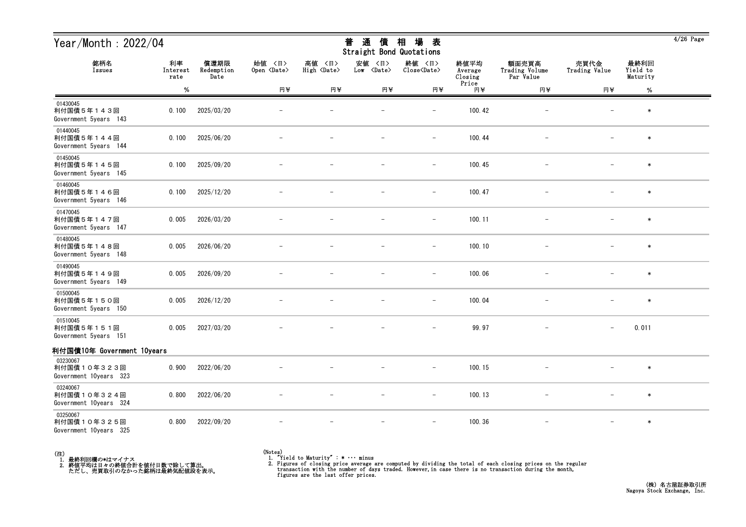| Year/Month: 2022/04                               |                        |                            |                              | 普<br>通<br>債<br>Straight Bond Quotations | 場<br>相<br>表                    |                               |                                     |                                      |                          | $4/26$ Page                  |  |
|---------------------------------------------------|------------------------|----------------------------|------------------------------|-----------------------------------------|--------------------------------|-------------------------------|-------------------------------------|--------------------------------------|--------------------------|------------------------------|--|
| 銘柄名<br>Issues                                     | 利率<br>Interest<br>rate | 償還期限<br>Redemption<br>Date | 始值 〈日〉<br>Open <date></date> | 高値 〈日〉<br>High <date></date>            | 安値<br>〈日〉<br>Low <date></date> | 終値 〈日〉<br>Close <date></date> | 終値平均<br>Average<br>Closing<br>Price | 額面売買高<br>Trading Volume<br>Par Value | 売買代金<br>Trading Value    | 最終利回<br>Yield to<br>Maturity |  |
|                                                   | $\%$                   |                            | 円半                           | 円半                                      | 円半                             | 円半                            | 円半                                  | 円半                                   | 円半                       | $\%$                         |  |
| 01430045<br>利付国債5年143回<br>Government 5years 143   | 0.100                  | 2025/03/20                 |                              |                                         |                                | $\overline{\phantom{m}}$      | 100.42                              |                                      | $\overline{\phantom{m}}$ | $\ast$                       |  |
| 01440045<br>利付国債5年144回<br>Government 5years 144   | 0.100                  | 2025/06/20                 |                              |                                         |                                | $\overline{\phantom{0}}$      | 100.44                              |                                      |                          | $\ast$                       |  |
| 01450045<br>利付国債5年145回<br>Government 5years 145   | 0.100                  | 2025/09/20                 |                              |                                         |                                | -                             | 100.45                              |                                      |                          | $\ast$                       |  |
| 01460045<br>利付国債5年146回<br>Government 5years 146   | 0.100                  | 2025/12/20                 |                              |                                         |                                | $\overline{\phantom{m}}$      | 100.47                              | $\overline{\phantom{a}}$             | $\overline{\phantom{m}}$ | $\ast$                       |  |
| 01470045<br>利付国債5年147回<br>Government 5years 147   | 0.005                  | 2026/03/20                 |                              |                                         |                                | $\overline{\phantom{a}}$      | 100.11                              |                                      |                          | $\ast$                       |  |
| 01480045<br>利付国債5年148回<br>Government 5years 148   | 0.005                  | 2026/06/20                 |                              |                                         |                                | $\overline{\phantom{a}}$      | 100.10                              |                                      |                          | $\ast$                       |  |
| 01490045<br>利付国債5年149回<br>Government 5years 149   | 0.005                  | 2026/09/20                 |                              |                                         |                                | $\overline{\phantom{a}}$      | 100.06                              |                                      |                          | $\ast$                       |  |
| 01500045<br>利付国債5年150回<br>Government 5years 150   | 0.005                  | 2026/12/20                 |                              |                                         |                                | $\overline{\phantom{a}}$      | 100.04                              | $\overline{\phantom{a}}$             | $\overline{\phantom{m}}$ | $\ast$                       |  |
| 01510045<br>利付国債5年151回<br>Government 5years 151   | 0.005                  | 2027/03/20                 |                              |                                         |                                | $-$                           | 99.97                               | $\overline{\phantom{a}}$             | $\overline{\phantom{0}}$ | 0.011                        |  |
| 利付国債10年 Government 10years                        |                        |                            |                              |                                         |                                |                               |                                     |                                      |                          |                              |  |
| 03230067<br>利付国債10年323回<br>Government 10years 323 | 0.900                  | 2022/06/20                 |                              |                                         |                                |                               | 100.15                              |                                      |                          | $\ast$                       |  |
| 03240067<br>利付国債10年324回<br>Government 10years 324 | 0.800                  | 2022/06/20                 |                              |                                         |                                | $\overline{\phantom{a}}$      | 100.13                              |                                      |                          | $\ast$                       |  |
| 03250067<br>利付国債10年325回<br>Government 10years 325 | 0.800                  | 2022/09/20                 |                              |                                         |                                | $\overline{\phantom{m}}$      | 100.36                              | $\overline{\phantom{m}}$             | $\overline{\phantom{0}}$ | $\ast$                       |  |



## (Notes) 1. "Yield to Maturity" : \* ・・・ minus

2. Figures of closing price average are computed by dividing the total of each closing prices on the regular transaction with the number of days traded. However, in case there is no transaction during the month, figures ar

 $\frac{1}{2}$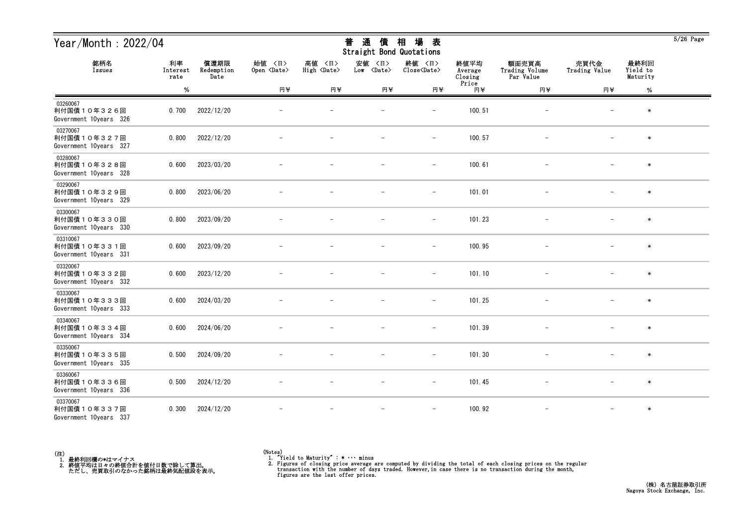| Year/Month: 2022/04                               |                        |                            |                              |                                 | 通<br>普<br>債<br>Straight Bond Quotations | 場<br>相<br>表                   |                            |                                      |                          |                              | $5/26$ Page |
|---------------------------------------------------|------------------------|----------------------------|------------------------------|---------------------------------|-----------------------------------------|-------------------------------|----------------------------|--------------------------------------|--------------------------|------------------------------|-------------|
| 銘柄名<br>Issues                                     | 利率<br>Interest<br>rate | 償還期限<br>Redemption<br>Date | 始値 〈日〉<br>Open <date></date> | 高値<br>〈日〉<br>High <date></date> | 安値<br>〈日〉<br>Low <date></date>          | 終値 〈日〉<br>Close <date></date> | 終値平均<br>Average<br>Closing | 額面売買高<br>Trading Volume<br>Par Value | 売買代金<br>Trading Value    | 最終利回<br>Yield to<br>Maturity |             |
|                                                   | $\%$                   |                            | 円半                           | 円半                              | 円半                                      | 円半                            | Price<br>円半                | 円半                                   | 円半                       | %                            |             |
| 03260067<br>利付国債10年326回<br>Government 10years 326 | 0.700                  | 2022/12/20                 |                              |                                 |                                         | $\overline{\phantom{0}}$      | 100.51                     |                                      |                          | $\ast$                       |             |
| 03270067<br>利付国債10年327回<br>Government 10years 327 | 0.800                  | 2022/12/20                 |                              |                                 |                                         | $\qquad \qquad -$             | 100.57                     |                                      |                          | $\ast$                       |             |
| 03280067<br>利付国債10年328回<br>Government 10years 328 | 0.600                  | 2023/03/20                 |                              |                                 |                                         | $\overline{\phantom{m}}$      | 100.61                     |                                      |                          | $\ast$                       |             |
| 03290067<br>利付国債10年329回<br>Government 10years 329 | 0.800                  | 2023/06/20                 |                              |                                 |                                         | $\overline{\phantom{m}}$      | 101.01                     |                                      |                          | $\ast$                       |             |
| 03300067<br>利付国債10年330回<br>Government 10years 330 | 0.800                  | 2023/09/20                 |                              |                                 |                                         | $\qquad \qquad -$             | 101.23                     |                                      |                          | $\ast$                       |             |
| 03310067<br>利付国債10年331回<br>Government 10years 331 | 0.600                  | 2023/09/20                 |                              |                                 |                                         | $\qquad \qquad -$             | 100.95                     |                                      |                          | $\ast$                       |             |
| 03320067<br>利付国債10年332回<br>Government 10years 332 | 0.600                  | 2023/12/20                 |                              |                                 |                                         | $\overline{\phantom{a}}$      | 101.10                     |                                      |                          | $\ast$                       |             |
| 03330067<br>利付国債10年333回<br>Government 10years 333 | 0.600                  | 2024/03/20                 |                              |                                 |                                         |                               | 101.25                     |                                      |                          | $\ast$                       |             |
| 03340067<br>利付国債10年334回<br>Government 10years 334 | 0.600                  | 2024/06/20                 |                              |                                 |                                         | $\overline{\phantom{0}}$      | 101.39                     |                                      |                          | $\ast$                       |             |
| 03350067<br>利付国債10年335回<br>Government 10years 335 | 0.500                  | 2024/09/20                 |                              |                                 |                                         | $\qquad \qquad -$             | 101.30                     |                                      | $\overline{\phantom{m}}$ | $\ast$                       |             |
| 03360067<br>利付国債10年336回<br>Government 10years 336 | 0.500                  | 2024/12/20                 |                              |                                 | $-$                                     | $ \,$                         | 101.45                     | $-$                                  | $-$                      | $\ast$                       |             |
| 03370067<br>利付国債10年337回<br>Government 10years 337 | 0.300                  | 2024/12/20                 |                              |                                 |                                         |                               | 100.92                     |                                      |                          | $\ast$                       |             |



 $\overline{5/26}$  Page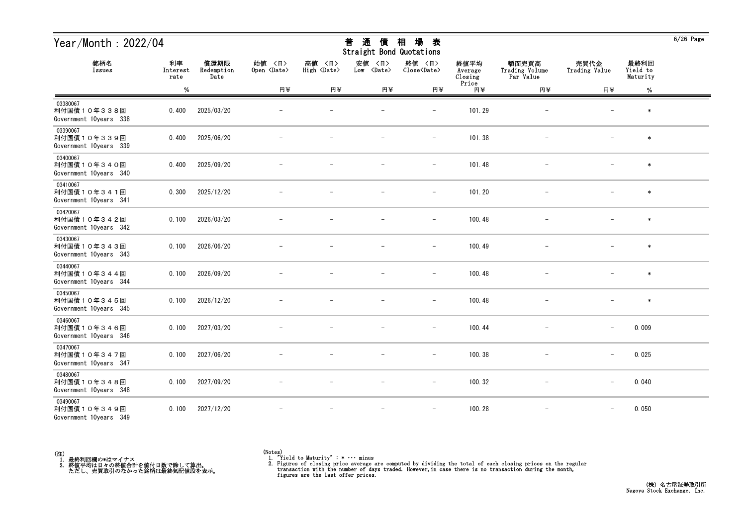| Year/Month: 2022/04                               |                        |                            |                              |                                 | 通<br>普<br>債<br>Straight Bond Quotations | 場<br>相<br>表                   |                            |                                      |                          |                              | $6/26$ Page |
|---------------------------------------------------|------------------------|----------------------------|------------------------------|---------------------------------|-----------------------------------------|-------------------------------|----------------------------|--------------------------------------|--------------------------|------------------------------|-------------|
| 銘柄名<br>Issues                                     | 利率<br>Interest<br>rate | 償還期限<br>Redemption<br>Date | 始值 〈日〉<br>Open <date></date> | 高値<br>〈日〉<br>High <date></date> | 安値<br>〈日〉<br>Low <date></date>          | 終値 〈日〉<br>Close <date></date> | 終値平均<br>Average<br>Closing | 額面売買高<br>Trading Volume<br>Par Value | 売買代金<br>Trading Value    | 最終利回<br>Yield to<br>Maturity |             |
|                                                   | $\%$                   |                            | 円半                           | 円半                              | 円半                                      | 円半                            | Price<br>円半                | 円半                                   | 円半                       | %                            |             |
| 03380067<br>利付国債10年338回<br>Government 10years 338 | 0.400                  | 2025/03/20                 |                              |                                 |                                         | $\overline{\phantom{0}}$      | 101.29                     |                                      |                          | $\ast$                       |             |
| 03390067<br>利付国債10年339回<br>Government 10years 339 | 0.400                  | 2025/06/20                 |                              |                                 |                                         | $\qquad \qquad -$             | 101.38                     |                                      |                          | $\ast$                       |             |
| 03400067<br>利付国債10年340回<br>Government 10years 340 | 0.400                  | 2025/09/20                 |                              |                                 |                                         | $\overline{\phantom{m}}$      | 101.48                     |                                      |                          | $\ast$                       |             |
| 03410067<br>利付国債10年341回<br>Government 10years 341 | 0.300                  | 2025/12/20                 |                              |                                 |                                         | $\overline{\phantom{m}}$      | 101.20                     |                                      |                          | $\ast$                       |             |
| 03420067<br>利付国債10年342回<br>Government 10years 342 | 0.100                  | 2026/03/20                 |                              |                                 |                                         | $\qquad \qquad -$             | 100.48                     |                                      |                          | $\ast$                       |             |
| 03430067<br>利付国債10年343回<br>Government 10years 343 | 0.100                  | 2026/06/20                 |                              |                                 |                                         | $\qquad \qquad -$             | 100.49                     |                                      |                          | $\ast$                       |             |
| 03440067<br>利付国債10年344回<br>Government 10years 344 | 0.100                  | 2026/09/20                 |                              |                                 |                                         | $\overline{\phantom{a}}$      | 100.48                     |                                      |                          | $\ast$                       |             |
| 03450067<br>利付国債10年345回<br>Government 10years 345 | 0.100                  | 2026/12/20                 |                              |                                 |                                         |                               | 100.48                     |                                      |                          | $\ast$                       |             |
| 03460067<br>利付国債10年346回<br>Government 10years 346 | 0.100                  | 2027/03/20                 |                              |                                 |                                         | $\overline{\phantom{0}}$      | 100.44                     |                                      | $\overline{\phantom{m}}$ | 0.009                        |             |
| 03470067<br>利付国債10年347回<br>Government 10years 347 | 0.100                  | 2027/06/20                 |                              |                                 |                                         | $\qquad \qquad -$             | 100.38                     |                                      | $\overline{\phantom{m}}$ | 0.025                        |             |
| 03480067<br>利付国債10年348回<br>Government 10years 348 | 0.100                  | 2027/09/20                 |                              |                                 | $\overline{\phantom{m}}$                | $-$                           | 100.32                     | $-$                                  | $\qquad \qquad -$        | 0.040                        |             |
| 03490067<br>利付国債10年349回<br>Government 10years 349 | 0.100                  | 2027/12/20                 |                              |                                 |                                         |                               | 100.28                     |                                      |                          | 0.050                        |             |



<sup>(</sup>Notes) 1. "Yield to Maturity" : \* ・・・ minus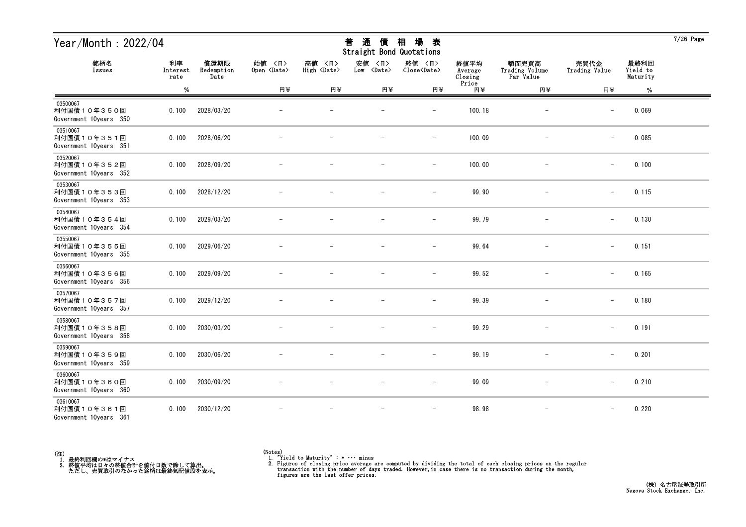| Year/Month: 2022/04                               |                        |                            |                              |                              | 通<br>普<br>債<br>Straight Bond Quotations | 相<br>場<br>表                   |                            |                                      |                          |                              | $7/26$ Page |
|---------------------------------------------------|------------------------|----------------------------|------------------------------|------------------------------|-----------------------------------------|-------------------------------|----------------------------|--------------------------------------|--------------------------|------------------------------|-------------|
| 銘柄名<br>Issues                                     | 利率<br>Interest<br>rate | 償還期限<br>Redemption<br>Date | 始値 〈日〉<br>Open <date></date> | 高値 〈日〉<br>High <date></date> | 安値<br>〈日〉<br>Low <date></date>          | 終値 〈日〉<br>Close <date></date> | 終値平均<br>Average<br>Closing | 額面売買高<br>Trading Volume<br>Par Value | 売買代金<br>Trading Value    | 最終利回<br>Yield to<br>Maturity |             |
|                                                   | %                      |                            | 円半                           | 円半                           | 円半                                      | 円半                            | Price<br>円半                | 円半                                   | 円半                       | $\%$                         |             |
| 03500067<br>利付国債10年350回<br>Government 10years 350 | 0.100                  | 2028/03/20                 |                              |                              |                                         | $\overline{\phantom{0}}$      | 100.18                     | -                                    | $\overline{\phantom{m}}$ | 0.069                        |             |
| 03510067<br>利付国債10年351回<br>Government 10years 351 | 0.100                  | 2028/06/20                 |                              |                              |                                         | $\overline{\phantom{m}}$      | 100.09                     |                                      | $\overline{\phantom{m}}$ | 0.085                        |             |
| 03520067<br>利付国債10年352回<br>Government 10years 352 | 0.100                  | 2028/09/20                 |                              |                              |                                         | $\overline{\phantom{0}}$      | 100.00                     |                                      | $\overline{\phantom{m}}$ | 0.100                        |             |
| 03530067<br>利付国債10年353回<br>Government 10years 353 | 0.100                  | 2028/12/20                 |                              |                              |                                         | $\overline{\phantom{0}}$      | 99.90                      |                                      | $\overline{\phantom{m}}$ | 0.115                        |             |
| 03540067<br>利付国債10年354回<br>Government 10years 354 | 0.100                  | 2029/03/20                 |                              |                              |                                         | $\overline{\phantom{0}}$      | 99.79                      |                                      | $\overline{\phantom{m}}$ | 0.130                        |             |
| 03550067<br>利付国債10年355回<br>Government 10years 355 | 0.100                  | 2029/06/20                 |                              |                              |                                         | $\overline{\phantom{m}}$      | 99.64                      |                                      | $\overline{\phantom{m}}$ | 0.151                        |             |
| 03560067<br>利付国債10年356回<br>Government 10years 356 | 0.100                  | 2029/09/20                 |                              |                              |                                         | $\overline{\phantom{0}}$      | 99.52                      |                                      | $\overline{\phantom{m}}$ | 0.165                        |             |
| 03570067<br>利付国債10年357回<br>Government 10years 357 | 0.100                  | 2029/12/20                 |                              |                              |                                         |                               | 99.39                      |                                      | $\overline{\phantom{m}}$ | 0.180                        |             |
| 03580067<br>利付国債10年358回<br>Government 10years 358 | 0.100                  | 2030/03/20                 |                              |                              |                                         |                               | 99.29                      |                                      | $\overline{\phantom{m}}$ | 0.191                        |             |
| 03590067<br>利付国債10年359回<br>Government 10years 359 | 0.100                  | 2030/06/20                 |                              |                              |                                         | $\overline{\phantom{m}}$      | 99.19                      |                                      | $\overline{\phantom{m}}$ | 0.201                        |             |
| 03600067<br>利付国債10年360回<br>Government 10years 360 | 0.100                  | 2030/09/20                 |                              | $\overline{\phantom{m}}$     | $\overline{\phantom{m}}$                | $\overline{\phantom{m}}$      | 99.09                      | $\overline{\phantom{m}}$             | $-$                      | 0.210                        |             |
| 03610067<br>利付国債10年361回<br>Government 10years 361 | 0.100                  | 2030/12/20                 |                              |                              |                                         | $\overline{\phantom{m}}$      | 98.98                      | $\qquad \qquad -$                    | $\qquad \qquad -$        | 0.220                        |             |



<sup>(</sup>Notes) 1. "Yield to Maturity" : \* ・・・ minus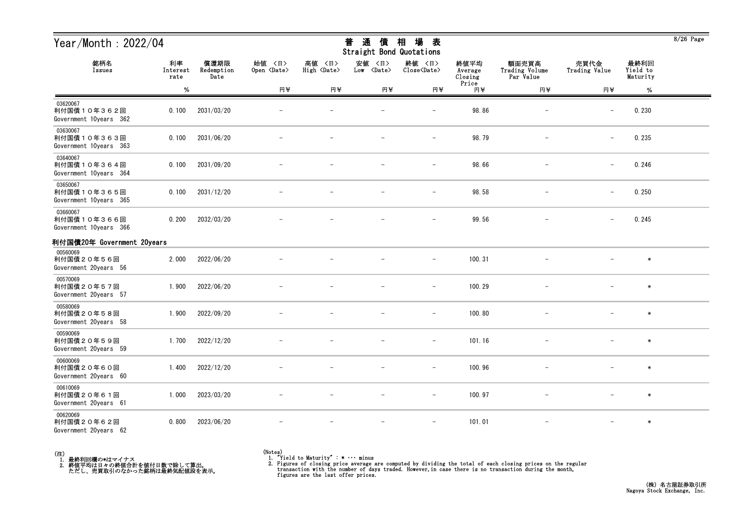| Year/Month : 2022/04                              |                        |                            |                              |                              | 普<br>通<br>債<br>Straight Bond Quotations | 相<br>場<br>表                   |                                     |                                      |                          |                              | 8/20 Page |
|---------------------------------------------------|------------------------|----------------------------|------------------------------|------------------------------|-----------------------------------------|-------------------------------|-------------------------------------|--------------------------------------|--------------------------|------------------------------|-----------|
| 銘柄名<br>Issues                                     | 利率<br>Interest<br>rate | 償還期限<br>Redemption<br>Date | 始値 〈日〉<br>Open <date></date> | 高値 〈日〉<br>High <date></date> | 安値 〈日〉<br>Low <date></date>             | 終値 〈日〉<br>Close <date></date> | 終値平均<br>Average<br>Closing<br>Price | 額面売買高<br>Trading Volume<br>Par Value | 売買代金<br>Trading Value    | 最終利回<br>Yield to<br>Maturity |           |
|                                                   | %                      |                            | 円半                           | 円半                           | 円半                                      | 円半                            | 円半                                  | 円半                                   | 円半                       | $\%$                         |           |
| 03620067<br>利付国債10年362回<br>Government 10years 362 | 0.100                  | 2031/03/20                 |                              |                              |                                         | $\overline{\phantom{a}}$      | 98.86                               |                                      | $\overline{\phantom{m}}$ | 0.230                        |           |
| 03630067<br>利付国債10年363回<br>Government 10years 363 | 0.100                  | 2031/06/20                 |                              |                              |                                         | $\overline{\phantom{m}}$      | 98.79                               |                                      | $\overline{\phantom{a}}$ | 0.235                        |           |
| 03640067<br>利付国債10年364回<br>Government 10years 364 | 0.100                  | 2031/09/20                 |                              |                              |                                         |                               | 98.66                               |                                      |                          | 0.246                        |           |
| 03650067<br>利付国債10年365回<br>Government 10years 365 | 0.100                  | 2031/12/20                 |                              |                              |                                         | $\overline{\phantom{0}}$      | 98.58                               |                                      | $\overline{\phantom{m}}$ | 0.250                        |           |
| 03660067<br>利付国債10年366回<br>Government 10years 366 | 0.200                  | 2032/03/20                 |                              |                              |                                         |                               | 99.56                               |                                      |                          | 0.245                        |           |
| 利付国債20年 Government 20years                        |                        |                            |                              |                              |                                         |                               |                                     |                                      |                          |                              |           |
| 00560069<br>利付国債20年56回<br>Government 20years 56   | 2.000                  | 2022/06/20                 |                              |                              |                                         | $\overline{\phantom{m}}$      | 100.31                              |                                      |                          | $\ast$                       |           |
| 00570069<br>利付国債20年57回<br>Government 20years 57   | 1.900                  | 2022/06/20                 |                              |                              |                                         |                               | 100.29                              |                                      |                          | $\ast$                       |           |
| 00580069<br>利付国債20年58回<br>Government 20years 58   | 1.900                  | 2022/09/20                 |                              |                              |                                         | $\qquad \qquad -$             | 100.80                              |                                      |                          | $\ast$                       |           |
| 00590069<br>利付国債20年59回<br>Government 20years 59   | 1.700                  | 2022/12/20                 |                              |                              |                                         | $\qquad \qquad -$             | 101.16                              |                                      |                          | $\ast$                       |           |
| 00600069<br>利付国債20年60回<br>Government 20years 60   | 1.400                  | 2022/12/20                 |                              |                              |                                         | $\overline{\phantom{m}}$      | 100.96                              |                                      |                          | $\ast$                       |           |
| 00610069<br>利付国債20年61回<br>Government 20years 61   | 1.000                  | 2023/03/20                 |                              |                              |                                         | $\overline{\phantom{a}}$      | 100.97                              |                                      |                          | $\ast$                       |           |
| 00620069<br>利付国債20年62回<br>Government 20years 62   | 0.800                  | 2023/06/20                 |                              |                              |                                         | $\overline{\phantom{a}}$      | 101.01                              | $\qquad \qquad -$                    | $\overline{\phantom{m}}$ | $\ast$                       |           |



## (Notes) 1. "Yield to Maturity" : \* ・・・ minus

2. Figures of closing price average are computed by dividing the total of each closing prices on the regular transaction with the number of days traded. However, in case there is no transaction during the month, figures ar

 $9/96$  Pc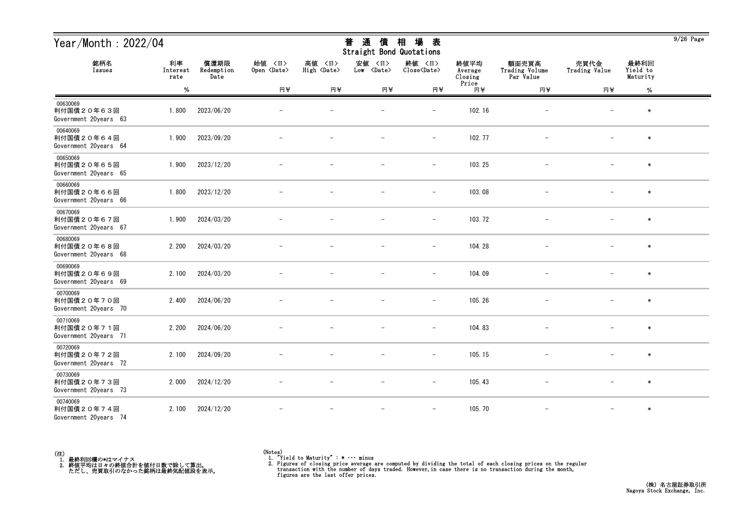| Year/Month: 2022/04                             |                        |                            |                              |                                 | 通<br>普<br>債<br>Straight Bond Quotations | 場<br>相<br>表                   |                            |                                      |                          |                              | $9/26$ Page |
|-------------------------------------------------|------------------------|----------------------------|------------------------------|---------------------------------|-----------------------------------------|-------------------------------|----------------------------|--------------------------------------|--------------------------|------------------------------|-------------|
| 銘柄名<br>Issues                                   | 利率<br>Interest<br>rate | 償還期限<br>Redemption<br>Date | 始値 〈日〉<br>Open <date></date> | 高値<br>〈日〉<br>High <date></date> | 安値<br>〈日〉<br>Low <date></date>          | 終値 〈日〉<br>Close <date></date> | 終値平均<br>Average<br>Closing | 額面売買高<br>Trading Volume<br>Par Value | 売買代金<br>Trading Value    | 最終利回<br>Yield to<br>Maturity |             |
|                                                 | $\%$                   |                            | 円半                           | 円半                              | 円半                                      | 円半                            | Price<br>円半                | 円半                                   | 円半                       | %                            |             |
| 00630069<br>利付国債20年63回<br>Government 20years 63 | 1.800                  | 2023/06/20                 |                              |                                 |                                         | $\overline{\phantom{0}}$      | 102.16                     |                                      |                          | $\ast$                       |             |
| 00640069<br>利付国債20年64回<br>Government 20years 64 | 1.900                  | 2023/09/20                 |                              |                                 |                                         | $\qquad \qquad -$             | 102.77                     |                                      |                          | $\ast$                       |             |
| 00650069<br>利付国債20年65回<br>Government 20years 65 | 1.900                  | 2023/12/20                 |                              |                                 |                                         | $\overline{\phantom{m}}$      | 103.25                     |                                      |                          | $\ast$                       |             |
| 00660069<br>利付国債20年66回<br>Government 20years 66 | 1.800                  | 2023/12/20                 |                              |                                 |                                         | $\overline{\phantom{m}}$      | 103.08                     |                                      |                          | $\ast$                       |             |
| 00670069<br>利付国債20年67回<br>Government 20years 67 | 1.900                  | 2024/03/20                 |                              |                                 |                                         | $\qquad \qquad -$             | 103.72                     |                                      |                          | $\ast$                       |             |
| 00680069<br>利付国債20年68回<br>Government 20years 68 | 2.200                  | 2024/03/20                 |                              |                                 |                                         | $\qquad \qquad -$             | 104.28                     |                                      |                          | $\ast$                       |             |
| 00690069<br>利付国債20年69回<br>Government 20years 69 | 2.100                  | 2024/03/20                 |                              |                                 |                                         | $\overline{\phantom{a}}$      | 104.09                     |                                      |                          | $\ast$                       |             |
| 00700069<br>利付国債20年70回<br>Government 20years 70 | 2.400                  | 2024/06/20                 |                              |                                 |                                         |                               | 105.26                     |                                      |                          | $\ast$                       |             |
| 00710069<br>利付国債20年71回<br>Government 20years 71 | 2.200                  | 2024/06/20                 |                              |                                 |                                         | $\overline{\phantom{0}}$      | 104.83                     |                                      |                          | $\ast$                       |             |
| 00720069<br>利付国債20年72回<br>Government 20years 72 | 2.100                  | 2024/09/20                 |                              |                                 |                                         | $\qquad \qquad -$             | 105.15                     |                                      | $\overline{\phantom{m}}$ | $\ast$                       |             |
| 00730069<br>利付国債20年73回<br>Government 20years 73 | 2.000                  | 2024/12/20                 | $-$                          |                                 | $\overline{\phantom{m}}$                | $-$                           | 105.43                     | $-$                                  | $-$                      | $\ast$                       |             |
| 00740069<br>利付国債20年74回<br>Government 20years 74 | 2.100                  | 2024/12/20                 |                              |                                 |                                         | $\qquad \qquad -$             | 105.70                     | $\qquad \qquad -$                    | $\overline{\phantom{0}}$ | $\ast$                       |             |



<sup>(</sup>Notes) 1. "Yield to Maturity" : \* ・・・ minus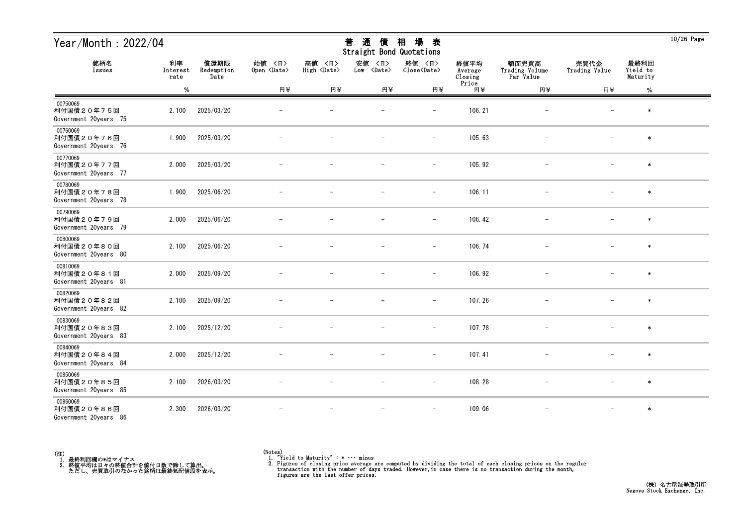| Year/Month: 2022/04                             |                        |                            |                              |                              | 通<br>普<br>債<br>Straight Bond Quotations | 場<br>相<br>表                   |                            |                                      |                          |                              | $10/26$ Page |
|-------------------------------------------------|------------------------|----------------------------|------------------------------|------------------------------|-----------------------------------------|-------------------------------|----------------------------|--------------------------------------|--------------------------|------------------------------|--------------|
| 銘柄名<br>Issues                                   | 利率<br>Interest<br>rate | 償還期限<br>Redemption<br>Date | 始値 〈日〉<br>Open <date></date> | 高値 〈日〉<br>High <date></date> | 安値<br>〈日〉<br>Low <date></date>          | 終値 〈日〉<br>Close <date></date> | 終値平均<br>Average<br>Closing | 額面売買高<br>Trading Volume<br>Par Value | 売買代金<br>Trading Value    | 最終利回<br>Yield to<br>Maturity |              |
|                                                 | $\%$                   |                            | 円半                           | 円半                           | 円半                                      | 円半                            | Price<br>円半                | 円半                                   | 円半                       | $\%$                         |              |
| 00750069<br>利付国債20年75回<br>Government 20years 75 | 2.100                  | 2025/03/20                 |                              |                              |                                         |                               | 106.21                     |                                      |                          | $\ast$                       |              |
| 00760069<br>利付国債20年76回<br>Government 20years 76 | 1.900                  | 2025/03/20                 |                              |                              |                                         | $\qquad \qquad -$             | 105.63                     | $\overline{\phantom{m}}$             |                          | $\ast$                       |              |
| 00770069<br>利付国債20年77回<br>Government 20years 77 | 2.000                  | 2025/03/20                 |                              |                              |                                         | $\overline{\phantom{m}}$      | 105.92                     |                                      |                          | $\ast$                       |              |
| 00780069<br>利付国債20年78回<br>Government 20years 78 | 1.900                  | 2025/06/20                 |                              |                              |                                         | $\qquad \qquad -$             | 106.11                     |                                      |                          | $\ast$                       |              |
| 00790069<br>利付国債20年79回<br>Government 20years 79 | 2.000                  | 2025/06/20                 |                              |                              |                                         | $\overline{\phantom{m}}$      | 106.42                     |                                      |                          | $\ast$                       |              |
| 00800069<br>利付国債20年80回<br>Government 20years 80 | 2.100                  | 2025/06/20                 |                              |                              |                                         | $\overline{\phantom{m}}$      | 106.74                     |                                      |                          | $\ast$                       |              |
| 00810069<br>利付国債20年81回<br>Government 20years 81 | 2.000                  | 2025/09/20                 |                              |                              |                                         | $\overline{\phantom{a}}$      | 106.92                     |                                      |                          | $\ast$                       |              |
| 00820069<br>利付国債20年82回<br>Government 20years 82 | 2.100                  | 2025/09/20                 |                              |                              |                                         | $\overline{\phantom{a}}$      | 107.26                     |                                      |                          | $\ast$                       |              |
| 00830069<br>利付国債20年83回<br>Government 20years 83 | 2.100                  | 2025/12/20                 |                              |                              |                                         |                               | 107.78                     |                                      |                          | $\ast$                       |              |
| 00840069<br>利付国債20年84回<br>Government 20years 84 | 2.000                  | 2025/12/20                 |                              |                              |                                         | $\overline{\phantom{m}}$      | 107.41                     |                                      | $\overline{\phantom{m}}$ | $\ast$                       |              |
| 00850069<br>利付国債20年85回<br>Government 20years 85 | 2.100                  | 2026/03/20                 | $\overline{\phantom{m}}$     | $\overline{\phantom{m}}$     | $\overline{\phantom{m}}$                | $-$                           | 108.28                     | $-$                                  | $-$                      | $\ast$                       |              |
| 00860069<br>利付国債20年86回<br>Government 20years 86 | 2.300                  | 2026/03/20                 |                              |                              | $\overline{\phantom{m}}$                | $\overline{\phantom{m}}$      | 109.06                     | $\overline{\phantom{m}}$             | $\overline{\phantom{m}}$ | $\ast$                       |              |



<sup>(</sup>Notes) 1. "Yield to Maturity" : \* ・・・ minus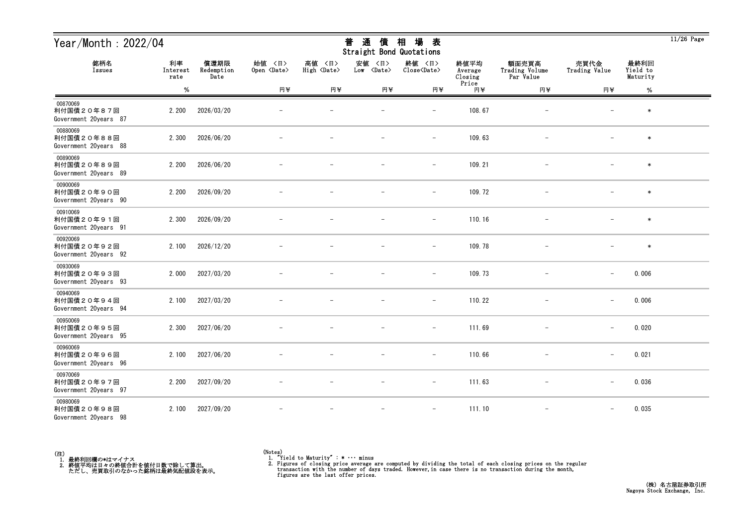| Year/Month: 2022/04                             |                        |                            |                              |                              | 通<br>普<br>債<br>Straight Bond Quotations | 場<br>相<br>表                   |                            |                                      |                          |                              | $11/26$ Page |
|-------------------------------------------------|------------------------|----------------------------|------------------------------|------------------------------|-----------------------------------------|-------------------------------|----------------------------|--------------------------------------|--------------------------|------------------------------|--------------|
| 銘柄名<br>Issues                                   | 利率<br>Interest<br>rate | 償還期限<br>Redemption<br>Date | 始値 〈日〉<br>Open <date></date> | 高値 〈日〉<br>High <date></date> | 安値<br>〈日〉<br>Low <date></date>          | 終値 〈日〉<br>Close <date></date> | 終値平均<br>Average<br>Closing | 額面売買高<br>Trading Volume<br>Par Value | 売買代金<br>Trading Value    | 最終利回<br>Yield to<br>Maturity |              |
|                                                 | $\%$                   |                            | 円半                           | 円半                           | 円半                                      | 円半                            | Price<br>円半                | 円半                                   | 円半                       | $\%$                         |              |
| 00870069<br>利付国債20年87回<br>Government 20years 87 | 2.200                  | 2026/03/20                 |                              |                              |                                         |                               | 108.67                     |                                      |                          | $\ast$                       |              |
| 00880069<br>利付国債20年88回<br>Government 20years 88 | 2.300                  | 2026/06/20                 |                              |                              |                                         | $\overline{\phantom{m}}$      | 109.63                     | $\overline{\phantom{m}}$             |                          | $\ast$                       |              |
| 00890069<br>利付国債20年89回<br>Government 20years 89 | 2.200                  | 2026/06/20                 |                              |                              |                                         | $\overline{\phantom{m}}$      | 109.21                     |                                      |                          | $\ast$                       |              |
| 00900069<br>利付国債20年90回<br>Government 20years 90 | 2.200                  | 2026/09/20                 |                              |                              |                                         | $\qquad \qquad -$             | 109.72                     |                                      |                          | $\ast$                       |              |
| 00910069<br>利付国債20年91回<br>Government 20years 91 | 2.300                  | 2026/09/20                 |                              |                              |                                         | $\overline{\phantom{m}}$      | 110.16                     |                                      |                          | $\ast$                       |              |
| 00920069<br>利付国債20年92回<br>Government 20years 92 | 2.100                  | 2026/12/20                 |                              |                              |                                         | $\overline{\phantom{m}}$      | 109.78                     | $\overline{\phantom{m}}$             |                          | $\ast$                       |              |
| 00930069<br>利付国債20年93回<br>Government 20years 93 | 2.000                  | 2027/03/20                 |                              |                              |                                         | $\overline{\phantom{a}}$      | 109.73                     | $\overline{\phantom{m}}$             | $\overline{\phantom{m}}$ | 0.006                        |              |
| 00940069<br>利付国債20年94回<br>Government 20years 94 | 2.100                  | 2027/03/20                 |                              |                              |                                         | $\overline{\phantom{a}}$      | 110.22                     |                                      | $\qquad \qquad -$        | 0.006                        |              |
| 00950069<br>利付国債20年95回<br>Government 20years 95 | 2.300                  | 2027/06/20                 |                              |                              |                                         | $\overline{\phantom{0}}$      | 111.69                     |                                      | $\overline{\phantom{m}}$ | 0.020                        |              |
| 00960069<br>利付国債20年96回<br>Government 20years 96 | 2.100                  | 2027/06/20                 |                              |                              |                                         | $\overline{\phantom{m}}$      | 110.66                     |                                      | $\overline{\phantom{0}}$ | 0.021                        |              |
| 00970069<br>利付国債20年97回<br>Government 20years 97 | 2.200                  | 2027/09/20                 | $\overline{\phantom{m}}$     |                              | $\overline{\phantom{m}}$                | $ \,$                         | 111.63                     | $\overline{\phantom{m}}$             | $-$                      | 0.036                        |              |
| 00980069<br>利付国債20年98回<br>Government 20years 98 | 2.100                  | 2027/09/20                 |                              | $\overline{\phantom{m}}$     | $\overline{\phantom{m}}$                | $\overline{\phantom{a}}$      | 111.10                     | $\overline{\phantom{a}}$             | $\qquad \qquad -$        | 0.035                        |              |



<sup>(</sup>Notes) 1. "Yield to Maturity" : \* ・・・ minus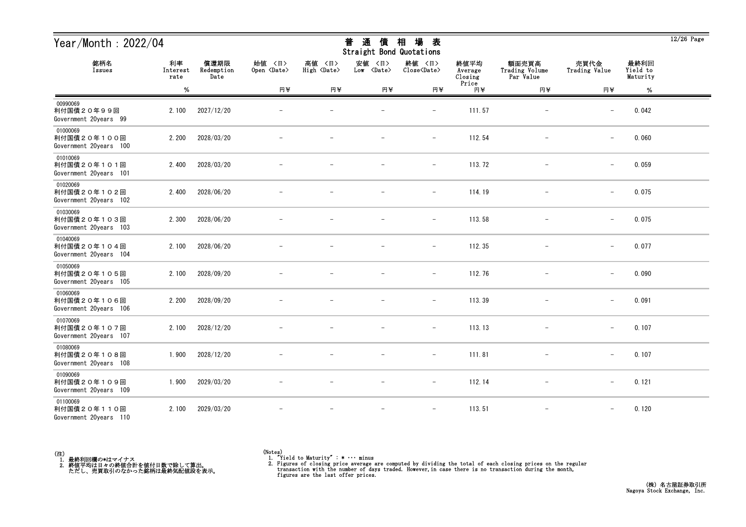| Year/Month: 2022/04                               |                        |                            |                              |                              | 通<br>普<br>債<br>Straight Bond Quotations | 場<br>相<br>表                   |                            |                                      |                          |                              | $12/26$ Page |
|---------------------------------------------------|------------------------|----------------------------|------------------------------|------------------------------|-----------------------------------------|-------------------------------|----------------------------|--------------------------------------|--------------------------|------------------------------|--------------|
| 銘柄名<br>Issues                                     | 利率<br>Interest<br>rate | 償還期限<br>Redemption<br>Date | 始值 〈日〉<br>Open <date></date> | 高値 〈日〉<br>High <date></date> | 安値<br>〈日〉<br>Low <date></date>          | 終値 〈日〉<br>Close <date></date> | 終値平均<br>Average<br>Closing | 額面売買高<br>Trading Volume<br>Par Value | 売買代金<br>Trading Value    | 最終利回<br>Yield to<br>Maturity |              |
|                                                   | $\%$                   |                            | 円半                           | 円半                           | 円半                                      | 円半                            | Price<br>円半                | 円半                                   | 円半                       | %                            |              |
| 00990069<br>利付国債20年99回<br>Government 20years 99   | 2.100                  | 2027/12/20                 |                              |                              |                                         |                               | 111.57                     |                                      |                          | 0.042                        |              |
| 01000069<br>利付国債20年100回<br>Government 20years 100 | 2.200                  | 2028/03/20                 |                              |                              |                                         | $\qquad \qquad -$             | 112.54                     | $\overline{\phantom{m}}$             | $\qquad \qquad -$        | 0.060                        |              |
| 01010069<br>利付国債20年101回<br>Government 20years 101 | 2.400                  | 2028/03/20                 |                              |                              |                                         | $\qquad \qquad -$             | 113.72                     |                                      | $\overline{\phantom{m}}$ | 0.059                        |              |
| 01020069<br>利付国債20年102回<br>Government 20years 102 | 2.400                  | 2028/06/20                 |                              |                              |                                         | $\overline{\phantom{m}}$      | 114.19                     |                                      | $\qquad \qquad -$        | 0.075                        |              |
| 01030069<br>利付国債20年103回<br>Government 20years 103 | 2.300                  | 2028/06/20                 |                              |                              |                                         | $\overline{\phantom{m}}$      | 113.58                     |                                      | $\overline{\phantom{m}}$ | 0.075                        |              |
| 01040069<br>利付国債20年104回<br>Government 20years 104 | 2.100                  | 2028/06/20                 |                              |                              |                                         | $\overline{\phantom{m}}$      | 112.35                     | $\overline{\phantom{m}}$             | $\overline{\phantom{0}}$ | 0.077                        |              |
| 01050069<br>利付国債20年105回<br>Government 20years 105 | 2.100                  | 2028/09/20                 |                              |                              |                                         | $\overline{\phantom{m}}$      | 112.76                     | $\overline{\phantom{m}}$             | $\qquad \qquad -$        | 0.090                        |              |
| 01060069<br>利付国債20年106回<br>Government 20years 106 | 2.200                  | 2028/09/20                 |                              |                              |                                         | $\overline{\phantom{a}}$      | 113.39                     |                                      | $\qquad \qquad -$        | 0.091                        |              |
| 01070069<br>利付国債20年107回<br>Government 20years 107 | 2.100                  | 2028/12/20                 |                              |                              |                                         | $\overline{\phantom{0}}$      | 113.13                     |                                      | $\overline{\phantom{m}}$ | 0.107                        |              |
| 01080069<br>利付国債20年108回<br>Government 20years 108 | 1.900                  | 2028/12/20                 |                              |                              | $\overline{\phantom{m}}$                | $\overline{\phantom{a}}$      | 111.81                     |                                      | $\overline{\phantom{0}}$ | 0.107                        |              |
| 01090069<br>利付国債20年109回<br>Government 20years 109 | 1.900                  | 2029/03/20                 | $\overline{\phantom{m}}$     |                              | $\overline{\phantom{m}}$                | $ \,$                         | 112.14                     | $\overline{\phantom{m}}$             | $-$                      | 0.121                        |              |
| 01100069<br>利付国債20年110回<br>Government 20years 110 | 2.100                  | 2029/03/20                 |                              |                              | $\overline{\phantom{m}}$                | $\overline{\phantom{m}}$      | 113.51                     | $\overline{\phantom{m}}$             | $\qquad \qquad -$        | 0.120                        |              |



<sup>(</sup>Notes) 1. "Yield to Maturity" : \* ・・・ minus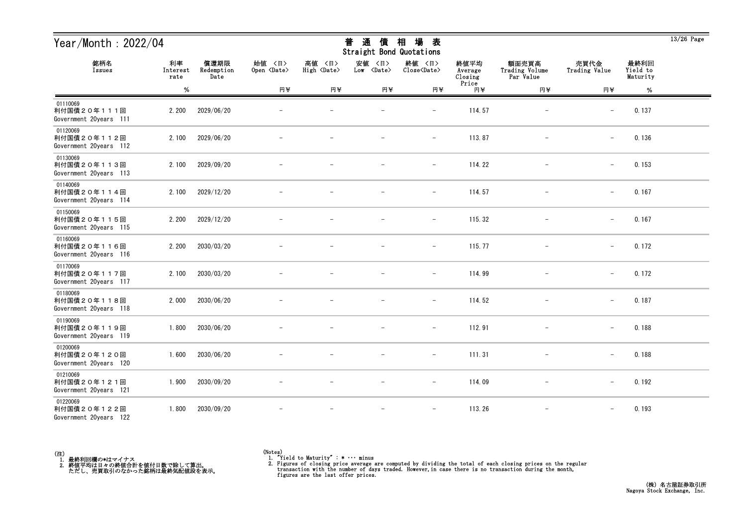| Year/Month: 2022/04                               |                        |                            |                              |                              | 通<br>普<br>債<br>Straight Bond Quotations | 場<br>相<br>表                   |                            |                                      |                          |                              | $13/26$ Page |
|---------------------------------------------------|------------------------|----------------------------|------------------------------|------------------------------|-----------------------------------------|-------------------------------|----------------------------|--------------------------------------|--------------------------|------------------------------|--------------|
| 銘柄名<br>Issues                                     | 利率<br>Interest<br>rate | 償還期限<br>Redemption<br>Date | 始值 〈日〉<br>Open <date></date> | 高値 〈日〉<br>High <date></date> | 安値<br>〈日〉<br>Low <date></date>          | 終値 〈日〉<br>Close <date></date> | 終値平均<br>Average<br>Closing | 額面売買高<br>Trading Volume<br>Par Value | 売買代金<br>Trading Value    | 最終利回<br>Yield to<br>Maturity |              |
|                                                   | $\%$                   |                            | 円半                           | 円半                           | 円半                                      | 円半                            | Price<br>円半                | 円半                                   | 円半                       | %                            |              |
| 01110069<br>利付国債20年111回<br>Government 20years 111 | 2.200                  | 2029/06/20                 |                              |                              |                                         |                               | 114.57                     |                                      |                          | 0.137                        |              |
| 01120069<br>利付国債20年112回<br>Government 20years 112 | 2.100                  | 2029/06/20                 |                              |                              |                                         | $\qquad \qquad -$             | 113.87                     | $\overline{\phantom{m}}$             | $\overline{\phantom{0}}$ | 0.136                        |              |
| 01130069<br>利付国債20年113回<br>Government 20years 113 | 2.100                  | 2029/09/20                 |                              |                              |                                         | $\overline{\phantom{m}}$      | 114.22                     |                                      | $\qquad \qquad -$        | 0.153                        |              |
| 01140069<br>利付国債20年114回<br>Government 20years 114 | 2.100                  | 2029/12/20                 |                              |                              |                                         | $\overline{\phantom{m}}$      | 114.57                     |                                      | $-$                      | 0.167                        |              |
| 01150069<br>利付国債20年115回<br>Government 20years 115 | 2.200                  | 2029/12/20                 |                              |                              |                                         | $\overline{\phantom{m}}$      | 115.32                     |                                      | $\overline{\phantom{m}}$ | 0.167                        |              |
| 01160069<br>利付国債20年116回<br>Government 20years 116 | 2.200                  | 2030/03/20                 |                              |                              |                                         | $\overline{\phantom{m}}$      | 115.77                     | $\overline{\phantom{m}}$             | $\overline{\phantom{m}}$ | 0.172                        |              |
| 01170069<br>利付国債20年117回<br>Government 20years 117 | 2.100                  | 2030/03/20                 |                              |                              |                                         | $\overline{\phantom{a}}$      | 114.99                     |                                      | $\qquad \qquad -$        | 0.172                        |              |
| 01180069<br>利付国債20年118回<br>Government 20years 118 | 2.000                  | 2030/06/20                 |                              |                              |                                         | $\overline{\phantom{a}}$      | 114.52                     |                                      | $\qquad \qquad -$        | 0.187                        |              |
| 01190069<br>利付国債20年119回<br>Government 20years 119 | 1.800                  | 2030/06/20                 |                              |                              |                                         |                               | 112.91                     |                                      | $\overline{\phantom{m}}$ | 0.188                        |              |
| 01200069<br>利付国債20年120回<br>Government 20years 120 | 1.600                  | 2030/06/20                 |                              |                              | $\overline{\phantom{m}}$                | $\overline{\phantom{a}}$      | 111.31                     |                                      | $\overline{\phantom{0}}$ | 0.188                        |              |
| 01210069<br>利付国債20年121回<br>Government 20years 121 | 1.900                  | 2030/09/20                 | $\overline{\phantom{m}}$     |                              | $\overline{\phantom{m}}$                | $ \,$                         | 114.09                     | $-$                                  | $\qquad \qquad -$        | 0.192                        |              |
| 01220069<br>利付国債20年122回<br>Government 20years 122 | 1.800                  | 2030/09/20                 |                              |                              | $\overline{\phantom{m}}$                | $\overline{\phantom{m}}$      | 113.26                     | $\overline{\phantom{m}}$             | $\qquad \qquad -$        | 0.193                        |              |



 $\overline{13/26}$  Page

# <del>並</del> や茎 /生 +□ +曰 <del>土</del>

<sup>(</sup>Notes) 1. "Yield to Maturity" : \* ・・・ minus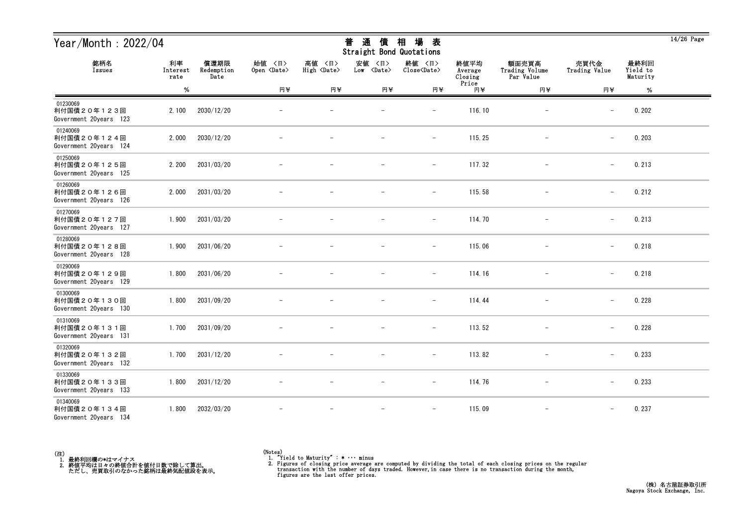| Year/Month: $2022/04$                             |                        |                            |                              |                              | 通<br>普<br>債<br>Straight Bond Quotations | 場<br>相<br>表                   |                            |                                      |                          |                              | $14/26$ Page |
|---------------------------------------------------|------------------------|----------------------------|------------------------------|------------------------------|-----------------------------------------|-------------------------------|----------------------------|--------------------------------------|--------------------------|------------------------------|--------------|
| 銘柄名<br>Issues                                     | 利率<br>Interest<br>rate | 償還期限<br>Redemption<br>Date | 始值 〈日〉<br>Open <date></date> | 高値 〈日〉<br>High <date></date> | 安値<br>〈日〉<br>Low <date></date>          | 終値 〈日〉<br>Close <date></date> | 終値平均<br>Average<br>Closing | 額面売買高<br>Trading Volume<br>Par Value | 売買代金<br>Trading Value    | 最終利回<br>Yield to<br>Maturity |              |
|                                                   | $\%$                   |                            | 円半                           | 円半                           | 円半                                      | 円半                            | Price<br>円半                | 円半                                   | 円半                       | %                            |              |
| 01230069<br>利付国債20年123回<br>Government 20years 123 | 2.100                  | 2030/12/20                 |                              |                              |                                         | $\overline{\phantom{0}}$      | 116.10                     |                                      | $\overline{\phantom{m}}$ | 0.202                        |              |
| 01240069<br>利付国債20年124回<br>Government 20years 124 | 2.000                  | 2030/12/20                 |                              |                              |                                         | $\qquad \qquad -$             | 115.25                     |                                      | $\overline{\phantom{m}}$ | 0.203                        |              |
| 01250069<br>利付国債20年125回<br>Government 20years 125 | 2.200                  | 2031/03/20                 |                              |                              |                                         | $\overline{\phantom{a}}$      | 117.32                     |                                      | $\overline{\phantom{m}}$ | 0.213                        |              |
| 01260069<br>利付国債20年126回<br>Government 20years 126 | 2.000                  | 2031/03/20                 |                              |                              |                                         | $\overline{\phantom{a}}$      | 115.58                     |                                      | $\overline{\phantom{0}}$ | 0.212                        |              |
| 01270069<br>利付国債20年127回<br>Government 20years 127 | 1.900                  | 2031/03/20                 |                              |                              |                                         | $\qquad \qquad -$             | 114.70                     |                                      | $\overline{\phantom{0}}$ | 0.213                        |              |
| 01280069<br>利付国債20年128回<br>Government 20years 128 | 1.900                  | 2031/06/20                 |                              |                              |                                         | $\overline{\phantom{m}}$      | 115.06                     | $\qquad \qquad -$                    | $\overline{\phantom{0}}$ | 0.218                        |              |
| 01290069<br>利付国債20年129回<br>Government 20years 129 | 1.800                  | 2031/06/20                 |                              |                              |                                         | $\overline{\phantom{a}}$      | 114.16                     |                                      | $\qquad \qquad -$        | 0.218                        |              |
| 01300069<br>利付国債20年130回<br>Government 20years 130 | 1.800                  | 2031/09/20                 |                              |                              |                                         |                               | 114.44                     |                                      |                          | 0.228                        |              |
| 01310069<br>利付国債20年131回<br>Government 20years 131 | 1.700                  | 2031/09/20                 |                              |                              |                                         | $\overline{\phantom{0}}$      | 113.52                     |                                      | $\overline{\phantom{m}}$ | 0.228                        |              |
| 01320069<br>利付国債20年132回<br>Government 20years 132 | 1.700                  | 2031/12/20                 |                              |                              |                                         | $\overline{\phantom{m}}$      | 113.82                     |                                      | $\overline{\phantom{m}}$ | 0.233                        |              |
| 01330069<br>利付国債20年133回<br>Government 20years 133 | 1.800                  | 2031/12/20                 |                              |                              | $\overline{\phantom{m}}$                | $ \,$                         | 114.76                     | $\overline{\phantom{0}}$             | $\overline{\phantom{m}}$ | 0.233                        |              |
| 01340069<br>利付国債20年134回<br>Government 20years 134 | 1.800                  | 2032/03/20                 |                              |                              |                                         |                               | 115.09                     | $\qquad \qquad -$                    |                          | 0.237                        |              |



 $\overline{14/26}$  Page

<sup>(</sup>Notes) 1. "Yield to Maturity" : \* ・・・ minus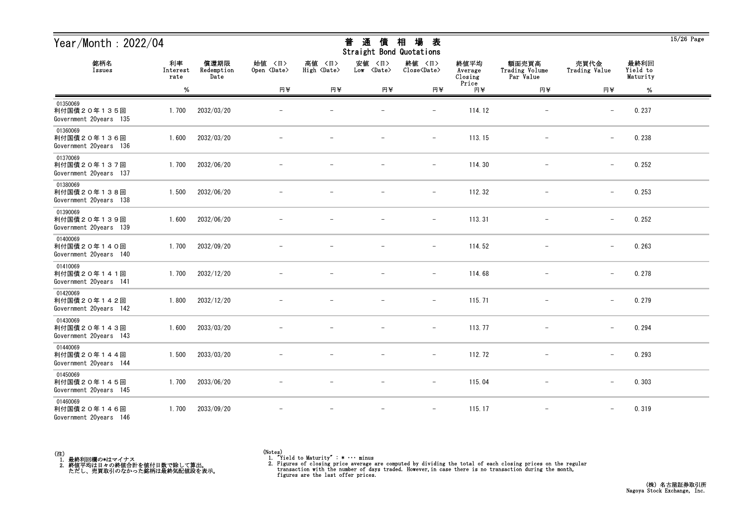| Year/Month: 2022/04                               |                        |                            |                              |                              | 通<br>普<br>債<br>Straight Bond Quotations | 場<br>相<br>表                   |                            |                                      |                          |                              | $15/26$ Page |
|---------------------------------------------------|------------------------|----------------------------|------------------------------|------------------------------|-----------------------------------------|-------------------------------|----------------------------|--------------------------------------|--------------------------|------------------------------|--------------|
| 銘柄名<br>Issues                                     | 利率<br>Interest<br>rate | 償還期限<br>Redemption<br>Date | 始値 〈日〉<br>Open <date></date> | 高値 〈日〉<br>High <date></date> | 安値<br>〈日〉<br>Low <date></date>          | 終値 〈日〉<br>Close <date></date> | 終値平均<br>Average<br>Closing | 額面売買高<br>Trading Volume<br>Par Value | 売買代金<br>Trading Value    | 最終利回<br>Yield to<br>Maturity |              |
|                                                   | $\%$                   |                            | 円半                           | 円半                           | 円半                                      | 円半                            | Price<br>円半                | 円半                                   | 円半                       | %                            |              |
| 01350069<br>利付国債20年135回<br>Government 20years 135 | 1.700                  | 2032/03/20                 |                              |                              |                                         |                               | 114.12                     |                                      |                          | 0.237                        |              |
| 01360069<br>利付国債20年136回<br>Government 20years 136 | 1.600                  | 2032/03/20                 |                              |                              |                                         | $\qquad \qquad -$             | 113.15                     | $\overline{\phantom{m}}$             | $\overline{\phantom{0}}$ | 0.238                        |              |
| 01370069<br>利付国債20年137回<br>Government 20years 137 | 1.700                  | 2032/06/20                 |                              |                              |                                         | $\overline{\phantom{m}}$      | 114.30                     |                                      | $\qquad \qquad -$        | 0.252                        |              |
| 01380069<br>利付国債20年138回<br>Government 20years 138 | 1.500                  | 2032/06/20                 |                              |                              |                                         | $\qquad \qquad -$             | 112.32                     |                                      | $\qquad \qquad -$        | 0.253                        |              |
| 01390069<br>利付国債20年139回<br>Government 20years 139 | 1.600                  | 2032/06/20                 |                              |                              |                                         | $\overline{\phantom{m}}$      | 113.31                     |                                      | $\overline{\phantom{m}}$ | 0.252                        |              |
| 01400069<br>利付国債20年140回<br>Government 20years 140 | 1.700                  | 2032/09/20                 |                              |                              |                                         | $\overline{\phantom{m}}$      | 114.52                     | $\overline{\phantom{m}}$             | $\overline{\phantom{m}}$ | 0.263                        |              |
| 01410069<br>利付国債20年141回<br>Government 20years 141 | 1.700                  | 2032/12/20                 |                              |                              |                                         | $\overline{\phantom{m}}$      | 114.68                     |                                      | $\qquad \qquad -$        | 0.278                        |              |
| 01420069<br>利付国債20年142回<br>Government 20years 142 | 1.800                  | 2032/12/20                 |                              |                              |                                         | $\overline{\phantom{a}}$      | 115.71                     |                                      | $\qquad \qquad -$        | 0.279                        |              |
| 01430069<br>利付国債20年143回<br>Government 20years 143 | 1.600                  | 2033/03/20                 |                              |                              |                                         | $\overline{\phantom{0}}$      | 113.77                     |                                      | $\overline{\phantom{m}}$ | 0.294                        |              |
| 01440069<br>利付国債20年144回<br>Government 20years 144 | 1.500                  | 2033/03/20                 |                              |                              | $\overline{\phantom{m}}$                | $\overline{\phantom{a}}$      | 112.72                     | $\qquad \qquad -$                    | $\overline{\phantom{0}}$ | 0.293                        |              |
| 01450069<br>利付国債20年145回<br>Government 20years 145 | 1.700                  | 2033/06/20                 | $\overline{\phantom{m}}$     | $\overline{\phantom{m}}$     | $\overline{\phantom{m}}$                | $ \,$                         | 115.04                     | $-$                                  | $\qquad \qquad -$        | 0.303                        |              |
| 01460069<br>利付国債20年146回<br>Government 20years 146 | 1.700                  | 2033/09/20                 |                              | $\overline{\phantom{m}}$     | $\overline{\phantom{m}}$                | $-$                           | 115.17                     | $\overline{\phantom{m}}$             | $\qquad \qquad -$        | 0.319                        |              |



<sup>(</sup>Notes) 1. "Yield to Maturity" : \* ・・・ minus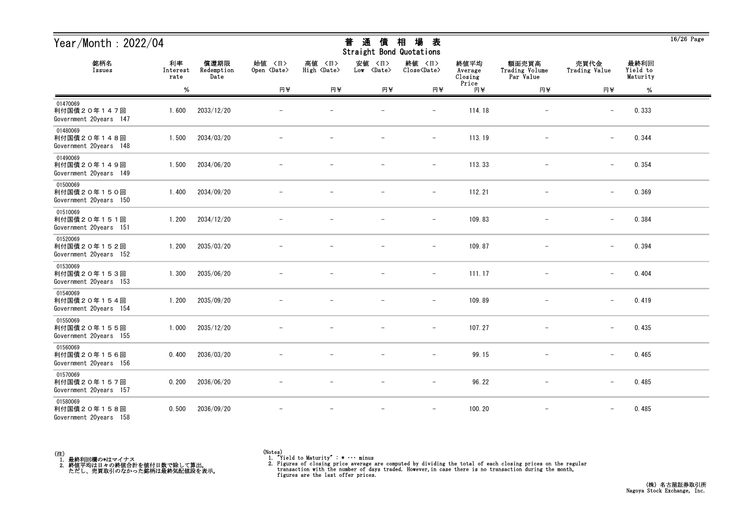| Year/Month: 2022/04                               |                        |                            |                              |                              | 通<br>普<br>債<br>Straight Bond Quotations | 場<br>相<br>表                   |                            |                                      |                          |                              | $16/26$ Page |
|---------------------------------------------------|------------------------|----------------------------|------------------------------|------------------------------|-----------------------------------------|-------------------------------|----------------------------|--------------------------------------|--------------------------|------------------------------|--------------|
| 銘柄名<br>Issues                                     | 利率<br>Interest<br>rate | 償還期限<br>Redemption<br>Date | 始值 〈日〉<br>Open <date></date> | 高値 〈日〉<br>High <date></date> | 安値<br>〈日〉<br>Low <date></date>          | 終値 〈日〉<br>Close <date></date> | 終値平均<br>Average<br>Closing | 額面売買高<br>Trading Volume<br>Par Value | 売買代金<br>Trading Value    | 最終利回<br>Yield to<br>Maturity |              |
|                                                   | $\%$                   |                            | 円半                           | 円半                           | 円半                                      | 円半                            | Price<br>円半                | 円半                                   | 円半                       | $\%$                         |              |
| 01470069<br>利付国債20年147回<br>Government 20years 147 | 1.600                  | 2033/12/20                 |                              |                              |                                         | $\qquad \qquad -$             | 114.18                     |                                      | $\overline{\phantom{m}}$ | 0.333                        |              |
| 01480069<br>利付国債20年148回<br>Government 20years 148 | 1.500                  | 2034/03/20                 |                              |                              |                                         | $\qquad \qquad -$             | 113.19                     |                                      | $\qquad \qquad -$        | 0.344                        |              |
| 01490069<br>利付国債20年149回<br>Government 20years 149 | 1.500                  | 2034/06/20                 |                              |                              |                                         | $\qquad \qquad -$             | 113.33                     |                                      | $\overline{\phantom{m}}$ | 0.354                        |              |
| 01500069<br>利付国債20年150回<br>Government 20years 150 | 1.400                  | 2034/09/20                 |                              |                              |                                         | $\overline{\phantom{m}}$      | 112.21                     | $\overline{\phantom{m}}$             | $\overline{\phantom{m}}$ | 0.369                        |              |
| 01510069<br>利付国債20年151回<br>Government 20years 151 | 1.200                  | 2034/12/20                 |                              |                              |                                         | $\overline{\phantom{a}}$      | 109.83                     |                                      | $\qquad \qquad -$        | 0.384                        |              |
| 01520069<br>利付国債20年152回<br>Government 20years 152 | 1.200                  | 2035/03/20                 |                              |                              |                                         | $\overline{\phantom{a}}$      | 109.87                     |                                      | $\qquad \qquad -$        | 0.394                        |              |
| 01530069<br>利付国債20年153回<br>Government 20years 153 | 1.300                  | 2035/06/20                 |                              |                              |                                         |                               | 111.17                     |                                      |                          | 0.404                        |              |
| 01540069<br>利付国債20年154回<br>Government 20years 154 | 1.200                  | 2035/09/20                 |                              |                              |                                         | $\qquad \qquad -$             | 109.89                     | $\qquad \qquad -$                    | $\overline{\phantom{0}}$ | 0.419                        |              |
| 01550069<br>利付国債20年155回<br>Government 20years 155 | 1.000                  | 2035/12/20                 |                              |                              |                                         | $\qquad \qquad -$             | 107.27                     |                                      | $\overline{\phantom{0}}$ | 0.435                        |              |
| 01560069<br>利付国債20年156回<br>Government 20years 156 | 0.400                  | 2036/03/20                 |                              |                              | $\overline{\phantom{m}}$                | $\overline{\phantom{m}}$      | 99.15                      |                                      | $\qquad \qquad -$        | 0.465                        |              |
| 01570069<br>利付国債20年157回<br>Government 20years 157 | 0.200                  | 2036/06/20                 |                              |                              |                                         | $\overline{\phantom{0}}$      | 96.22                      |                                      | $\qquad \qquad -$        | 0.485                        |              |
| 01580069<br>利付国債20年158回<br>Government 20years 158 | 0.500                  | 2036/09/20                 |                              |                              |                                         | $\overline{\phantom{a}}$      | 100.20                     | $\overline{\phantom{m}}$             | $\overline{\phantom{m}}$ | 0.485                        |              |



<sup>(</sup>Notes) 1. "Yield to Maturity" : \* ・・・ minus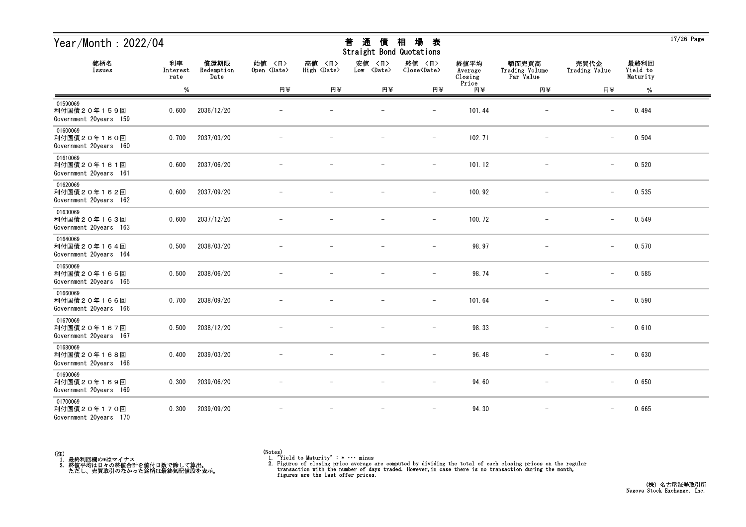| Year/Month: $2022/04$                             |                        |                            |                              |                              | 通<br>普<br>債<br>Straight Bond Quotations | 相<br>場<br>表                   |                            |                                      |                          |                              | $17/26$ Page |
|---------------------------------------------------|------------------------|----------------------------|------------------------------|------------------------------|-----------------------------------------|-------------------------------|----------------------------|--------------------------------------|--------------------------|------------------------------|--------------|
| 銘柄名<br>Issues                                     | 利率<br>Interest<br>rate | 償還期限<br>Redemption<br>Date | 始値 〈日〉<br>Open <date></date> | 高値 〈日〉<br>High <date></date> | 安値<br>〈日〉<br>Low <date></date>          | 終値 〈日〉<br>Close <date></date> | 終値平均<br>Average<br>Closing | 額面売買高<br>Trading Volume<br>Par Value | 売買代金<br>Trading Value    | 最終利回<br>Yield to<br>Maturity |              |
|                                                   | %                      |                            | 円半                           | 円半                           | 円半                                      | 円半                            | Price<br>円半                | 円半                                   | 円半                       | $\%$                         |              |
| 01590069<br>利付国債20年159回<br>Government 20years 159 | 0.600                  | 2036/12/20                 |                              |                              |                                         | $\overline{\phantom{0}}$      | 101.44                     | -                                    | $\overline{\phantom{m}}$ | 0.494                        |              |
| 01600069<br>利付国債20年160回<br>Government 20years 160 | 0.700                  | 2037/03/20                 |                              |                              |                                         | $\overline{\phantom{m}}$      | 102.71                     | $\overline{\phantom{m}}$             | $\qquad \qquad -$        | 0.504                        |              |
| 01610069<br>利付国債20年161回<br>Government 20years 161 | 0.600                  | 2037/06/20                 |                              |                              |                                         | $\overline{\phantom{m}}$      | 101.12                     |                                      | $\overline{\phantom{m}}$ | 0.520                        |              |
| 01620069<br>利付国債20年162回<br>Government 20years 162 | 0.600                  | 2037/09/20                 |                              |                              |                                         | $\qquad \qquad -$             | 100.92                     |                                      | $\overline{\phantom{m}}$ | 0.535                        |              |
| 01630069<br>利付国債20年163回<br>Government 20years 163 | 0.600                  | 2037/12/20                 |                              |                              |                                         | $\overline{\phantom{0}}$      | 100.72                     |                                      | $\overline{\phantom{m}}$ | 0.549                        |              |
| 01640069<br>利付国債20年164回<br>Government 20years 164 | 0.500                  | 2038/03/20                 |                              |                              |                                         | $\overline{\phantom{m}}$      | 98.97                      |                                      | $\overline{\phantom{m}}$ | 0.570                        |              |
| 01650069<br>利付国債20年165回<br>Government 20years 165 | 0.500                  | 2038/06/20                 |                              |                              |                                         | $\overline{\phantom{0}}$      | 98.74                      |                                      | $\overline{\phantom{m}}$ | 0.585                        |              |
| 01660069<br>利付国債20年166回<br>Government 20years 166 | 0.700                  | 2038/09/20                 |                              |                              |                                         |                               | 101.64                     |                                      |                          | 0.590                        |              |
| 01670069<br>利付国債20年167回<br>Government 20years 167 | 0.500                  | 2038/12/20                 |                              |                              |                                         |                               | 98.33                      |                                      | $\overline{\phantom{m}}$ | 0.610                        |              |
| 01680069<br>利付国債20年168回<br>Government 20years 168 | 0.400                  | 2039/03/20                 |                              |                              |                                         | $\overline{\phantom{m}}$      | 96.48                      |                                      | $\overline{\phantom{m}}$ | 0.630                        |              |
| 01690069<br>利付国債20年169回<br>Government 20years 169 | 0.300                  | 2039/06/20                 |                              | $\overline{\phantom{m}}$     | $\overline{\phantom{m}}$                | $\overline{\phantom{m}}$      | 94.60                      | $\overline{\phantom{m}}$             | $-$                      | 0.650                        |              |
| 01700069<br>利付国債20年170回<br>Government 20years 170 | 0.300                  | 2039/09/20                 |                              |                              |                                         | $\overline{\phantom{m}}$      | 94.30                      | $\qquad \qquad -$                    | $\qquad \qquad -$        | 0.665                        |              |



<sup>(</sup>Notes) 1. "Yield to Maturity" : \* ・・・ minus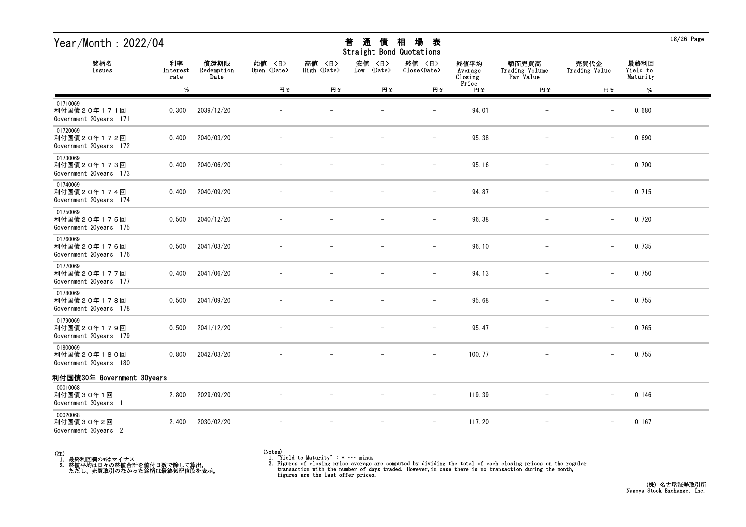| Year/Month : 2022/04                              |                        |                            |                              |                              | 普<br>通<br>債<br>Straight Bond Quotations | 相<br>場<br>表                   |                                     |                                      |                          |                              | 18/20 Page |
|---------------------------------------------------|------------------------|----------------------------|------------------------------|------------------------------|-----------------------------------------|-------------------------------|-------------------------------------|--------------------------------------|--------------------------|------------------------------|------------|
| 銘柄名<br>Issues                                     | 利率<br>Interest<br>rate | 償還期限<br>Redemption<br>Date | 始値 〈日〉<br>Open <date></date> | 高値 〈日〉<br>High <date></date> | 安値 〈日〉<br>Low <date></date>             | 終値 〈日〉<br>Close <date></date> | 終値平均<br>Average<br>Closing<br>Price | 額面売買高<br>Trading Volume<br>Par Value | 売買代金<br>Trading Value    | 最終利回<br>Yield to<br>Maturity |            |
|                                                   | %                      |                            | 円半                           | 円半                           | 円半                                      | 円半                            | 円半                                  | 円半                                   | 円半                       | %                            |            |
| 01710069<br>利付国債20年171回<br>Government 20years 171 | 0.300                  | 2039/12/20                 |                              |                              | $\qquad \qquad -$                       | $\qquad \qquad -$             | 94.01                               | $\overline{\phantom{0}}$             | $\overline{\phantom{m}}$ | 0.680                        |            |
| 01720069<br>利付国債20年172回<br>Government 20years 172 | 0.400                  | 2040/03/20                 |                              |                              | $\overline{\phantom{0}}$                | $\overline{\phantom{m}}$      | 95.38                               |                                      |                          | 0.690                        |            |
| 01730069<br>利付国債20年173回<br>Government 20years 173 | 0.400                  | 2040/06/20                 |                              |                              |                                         |                               | 95.16                               |                                      |                          | 0.700                        |            |
| 01740069<br>利付国債20年174回<br>Government 20years 174 | 0.400                  | 2040/09/20                 |                              |                              |                                         |                               | 94.87                               | $\overline{\phantom{0}}$             | $\overline{\phantom{m}}$ | 0.715                        |            |
| 01750069<br>利付国債20年175回<br>Government 20years 175 | 0.500                  | 2040/12/20                 |                              |                              |                                         |                               | 96.38                               |                                      |                          | 0.720                        |            |
| 01760069<br>利付国債20年176回<br>Government 20years 176 | 0.500                  | 2041/03/20                 |                              |                              |                                         |                               | 96.10                               |                                      |                          | 0.735                        |            |
| 01770069<br>利付国債20年177回<br>Government 20years 177 | 0.400                  | 2041/06/20                 |                              |                              |                                         |                               | 94.13                               |                                      |                          | 0.750                        |            |
| 01780069<br>利付国債20年178回<br>Government 20years 178 | 0.500                  | 2041/09/20                 |                              |                              |                                         | $-$                           | 95.68                               | $\overline{\phantom{0}}$             | $\overline{\phantom{m}}$ | 0.755                        |            |
| 01790069<br>利付国債20年179回<br>Government 20years 179 | 0.500                  | 2041/12/20                 |                              |                              |                                         | $\qquad \qquad -$             | 95.47                               |                                      |                          | 0.765                        |            |
| 01800069<br>利付国債20年180回<br>Government 20years 180 | 0.800                  | 2042/03/20                 |                              |                              | $\qquad \qquad -$                       | $\qquad \qquad -$             | 100.77                              |                                      |                          | 0.755                        |            |
| 利付国債30年 Government 30years                        |                        |                            |                              |                              |                                         |                               |                                     |                                      |                          |                              |            |
| 00010068<br>利付国債30年1回<br>Government 30years 1     | 2.800                  | 2029/09/20                 |                              |                              |                                         |                               | 119.39                              |                                      |                          | 0.146                        |            |
| 00020068<br>利付国債30年2回<br>Government 30years 2     | 2.400                  | 2030/02/20                 |                              |                              | -                                       | $-$                           | 117.20                              | $\overline{\phantom{0}}$             |                          | 0.167                        |            |



<sup>(</sup>Notes) 1. "Yield to Maturity" : \* ・・・ minus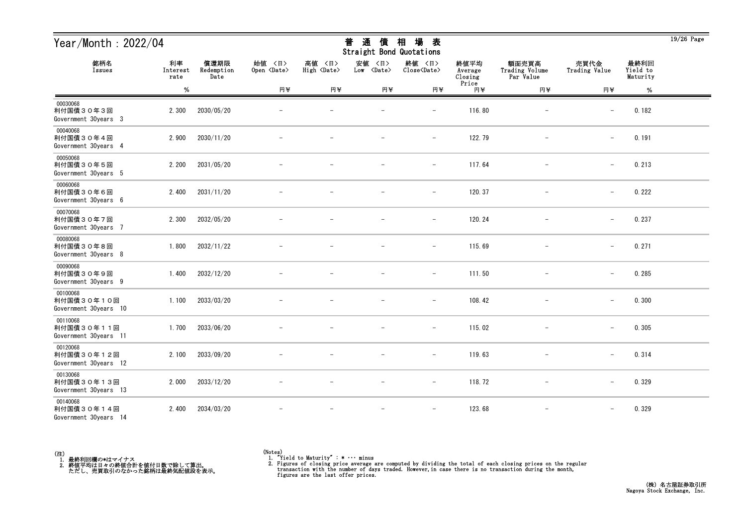| Year/Month: 2022/04                             |                        |                            |                              |                              | 通<br>普<br>債<br>Straight Bond Quotations | 場<br>相<br>表                   |                            |                                      |                          |                              | $19/26$ Page |
|-------------------------------------------------|------------------------|----------------------------|------------------------------|------------------------------|-----------------------------------------|-------------------------------|----------------------------|--------------------------------------|--------------------------|------------------------------|--------------|
| 銘柄名<br>Issues                                   | 利率<br>Interest<br>rate | 償還期限<br>Redemption<br>Date | 始值 〈日〉<br>Open <date></date> | 高値 〈日〉<br>High <date></date> | 安値<br>〈日〉<br>Low <date></date>          | 終値 〈日〉<br>Close <date></date> | 終値平均<br>Average<br>Closing | 額面売買高<br>Trading Volume<br>Par Value | 売買代金<br>Trading Value    | 最終利回<br>Yield to<br>Maturity |              |
|                                                 | $\%$                   |                            | 円半                           | 円半                           | 円半                                      | 円半                            | Price<br>円半                | 円半                                   | 円半                       | $\%$                         |              |
| 00030068<br>利付国債30年3回<br>Government 30years 3   | 2.300                  | 2030/05/20                 |                              |                              |                                         |                               | 116.80                     |                                      | $\overline{\phantom{m}}$ | 0.182                        |              |
| 00040068<br>利付国債30年4回<br>Government 30years 4   | 2.900                  | 2030/11/20                 |                              |                              |                                         | $\qquad \qquad -$             | 122.79                     | $\overline{\phantom{a}}$             | $\overline{\phantom{0}}$ | 0.191                        |              |
| 00050068<br>利付国債30年5回<br>Government 30years 5   | 2.200                  | 2031/05/20                 |                              |                              |                                         | $\qquad \qquad -$             | 117.64                     |                                      | $\qquad \qquad -$        | 0.213                        |              |
| 00060068<br>利付国債30年6回<br>Government 30years 6   | 2.400                  | 2031/11/20                 |                              |                              |                                         | $\qquad \qquad -$             | 120.37                     |                                      | $\overline{\phantom{m}}$ | 0.222                        |              |
| 00070068<br>利付国債30年7回<br>Government 30years 7   | 2.300                  | 2032/05/20                 |                              |                              |                                         | $\overline{\phantom{m}}$      | 120.24                     |                                      | $\qquad \qquad -$        | 0.237                        |              |
| 00080068<br>利付国債30年8回<br>Government 30years 8   | 1.800                  | 2032/11/22                 |                              |                              |                                         | $\overline{\phantom{m}}$      | 115.69                     | $\overline{\phantom{m}}$             | $\overline{\phantom{m}}$ | 0.271                        |              |
| 00090068<br>利付国債30年9回<br>Government 30years 9   | 1.400                  | 2032/12/20                 |                              |                              |                                         | $\overline{\phantom{m}}$      | 111.50                     | $\overline{\phantom{m}}$             | $\qquad \qquad -$        | 0.285                        |              |
| 00100068<br>利付国債30年10回<br>Government 30years 10 | 1.100                  | 2033/03/20                 |                              |                              |                                         | $\overline{\phantom{a}}$      | 108.42                     |                                      | $\qquad \qquad -$        | 0.300                        |              |
| 00110068<br>利付国債30年11回<br>Government 30years 11 | 1.700                  | 2033/06/20                 |                              |                              |                                         | $\overline{\phantom{0}}$      | 115.02                     |                                      | $\overline{\phantom{m}}$ | 0.305                        |              |
| 00120068<br>利付国債30年12回<br>Government 30years 12 | 2.100                  | 2033/09/20                 |                              |                              | $\overline{\phantom{m}}$                | $\overline{\phantom{a}}$      | 119.63                     | $\overline{\phantom{m}}$             | $\overline{\phantom{m}}$ | 0.314                        |              |
| 00130068<br>利付国債30年13回<br>Government 30years 13 | 2.000                  | 2033/12/20                 | $\overline{\phantom{m}}$     |                              | $\overline{\phantom{m}}$                | $ \,$                         | 118.72                     | $-$                                  | $\qquad \qquad -$        | 0.329                        |              |
| 00140068<br>利付国債30年14回<br>Government 30years 14 | 2.400                  | 2034/03/20                 |                              |                              | $\overline{\phantom{m}}$                | $\overline{\phantom{m}}$      | 123.68                     | $\overline{\phantom{m}}$             | $\qquad \qquad -$        | 0.329                        |              |



<sup>(</sup>Notes) 1. "Yield to Maturity" : \* ・・・ minus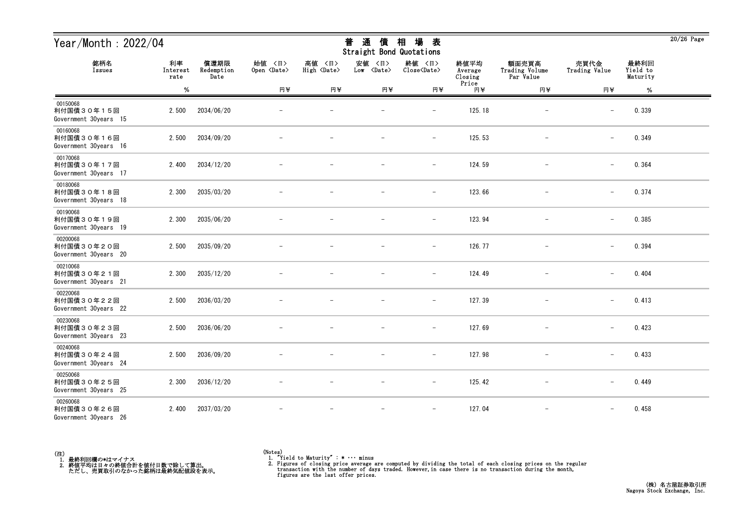| Year/Month: 2022/04                             |                        |                            |                              |                              | 通<br>普<br>債<br>Straight Bond Quotations | 場<br>相<br>表                   |                            |                                      |                          |                              | $20/26$ Page |
|-------------------------------------------------|------------------------|----------------------------|------------------------------|------------------------------|-----------------------------------------|-------------------------------|----------------------------|--------------------------------------|--------------------------|------------------------------|--------------|
| 銘柄名<br>Issues                                   | 利率<br>Interest<br>rate | 償還期限<br>Redemption<br>Date | 始值 〈日〉<br>Open <date></date> | 高値 〈日〉<br>High <date></date> | 安値<br>〈日〉<br>Low <date></date>          | 終値 〈日〉<br>Close <date></date> | 終値平均<br>Average<br>Closing | 額面売買高<br>Trading Volume<br>Par Value | 売買代金<br>Trading Value    | 最終利回<br>Yield to<br>Maturity |              |
|                                                 | $\%$                   |                            | 円半                           | 円半                           | 円半                                      | 円半                            | Price<br>円半                | 円半                                   | 円半                       | %                            |              |
| 00150068<br>利付国債30年15回<br>Government 30years 15 | 2.500                  | 2034/06/20                 |                              |                              |                                         | $\overline{\phantom{0}}$      | 125.18                     |                                      | $\overline{\phantom{m}}$ | 0.339                        |              |
| 00160068<br>利付国債30年16回<br>Government 30years 16 | 2.500                  | 2034/09/20                 |                              |                              |                                         | $\qquad \qquad -$             | 125.53                     |                                      | $\overline{\phantom{m}}$ | 0.349                        |              |
| 00170068<br>利付国債30年17回<br>Government 30years 17 | 2.400                  | 2034/12/20                 |                              |                              |                                         | $\overline{\phantom{m}}$      | 124.59                     |                                      | $\overline{\phantom{m}}$ | 0.364                        |              |
| 00180068<br>利付国債30年18回<br>Government 30years 18 | 2.300                  | 2035/03/20                 |                              |                              |                                         | $\overline{\phantom{m}}$      | 123.66                     |                                      | $\overline{\phantom{0}}$ | 0.374                        |              |
| 00190068<br>利付国債30年19回<br>Government 30years 19 | 2.300                  | 2035/06/20                 |                              |                              |                                         | $\overline{\phantom{m}}$      | 123.94                     |                                      | $\qquad \qquad -$        | 0.385                        |              |
| 00200068<br>利付国債30年20回<br>Government 30years 20 | 2.500                  | 2035/09/20                 |                              |                              |                                         | $\overline{\phantom{m}}$      | 126.77                     | $\qquad \qquad -$                    | $\overline{\phantom{m}}$ | 0.394                        |              |
| 00210068<br>利付国債30年21回<br>Government 30years 21 | 2.300                  | 2035/12/20                 |                              |                              |                                         | $\overline{\phantom{a}}$      | 124.49                     |                                      | $\overline{\phantom{m}}$ | 0.404                        |              |
| 00220068<br>利付国債30年22回<br>Government 30years 22 | 2.500                  | 2036/03/20                 |                              |                              |                                         |                               | 127.39                     |                                      | $\overline{\phantom{m}}$ | 0.413                        |              |
| 00230068<br>利付国債30年23回<br>Government 30years 23 | 2.500                  | 2036/06/20                 |                              |                              |                                         | $\overline{\phantom{0}}$      | 127.69                     |                                      | $\overline{\phantom{m}}$ | 0.423                        |              |
| 00240068<br>利付国債30年24回<br>Government 30years 24 | 2.500                  | 2036/09/20                 |                              |                              |                                         | $\qquad \qquad -$             | 127.98                     |                                      | $\overline{\phantom{m}}$ | 0.433                        |              |
| 00250068<br>利付国債30年25回<br>Government 30years 25 | 2.300                  | 2036/12/20                 |                              |                              | $\overline{\phantom{m}}$                | $-$                           | 125.42                     | $\overline{\phantom{m}}$             | $\qquad \qquad -$        | 0.449                        |              |
| 00260068<br>利付国債30年26回<br>Government 30years 26 | 2.400                  | 2037/03/20                 |                              |                              |                                         |                               | 127.04                     | $\qquad \qquad -$                    |                          | 0.458                        |              |



<sup>(</sup>Notes) 1. "Yield to Maturity" : \* ・・・ minus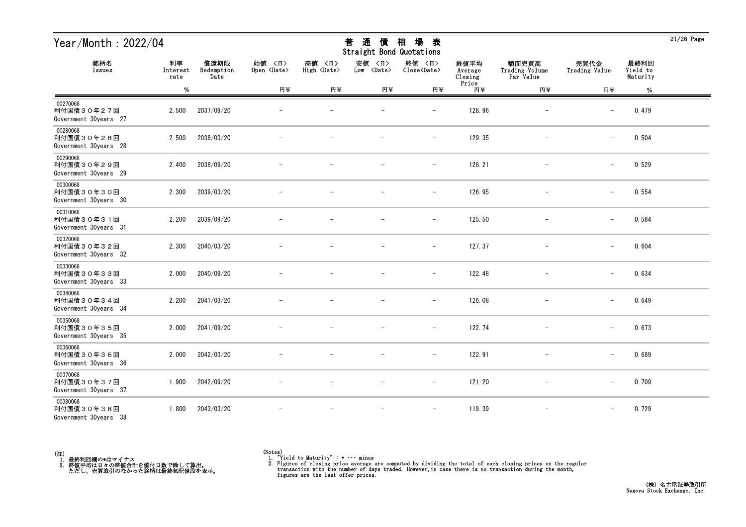| Year/Month: 2022/04                             |                        |                            |                              |                              | 通<br>普<br>債<br>Straight Bond Quotations | 場<br>相<br>表                   |                            |                                      |                          |                              | $21/26$ Page |
|-------------------------------------------------|------------------------|----------------------------|------------------------------|------------------------------|-----------------------------------------|-------------------------------|----------------------------|--------------------------------------|--------------------------|------------------------------|--------------|
| 銘柄名<br>Issues                                   | 利率<br>Interest<br>rate | 償還期限<br>Redemption<br>Date | 始值 〈日〉<br>Open <date></date> | 高値 〈日〉<br>High <date></date> | 安値<br>〈日〉<br>Low <date></date>          | 終値 〈日〉<br>Close <date></date> | 終値平均<br>Average<br>Closing | 額面売買高<br>Trading Volume<br>Par Value | 売買代金<br>Trading Value    | 最終利回<br>Yield to<br>Maturity |              |
|                                                 | $\%$                   |                            | 円半                           | 円半                           | 円半                                      | 円半                            | Price<br>円半                | 円半                                   | 円半                       | %                            |              |
| 00270068<br>利付国債30年27回<br>Government 30years 27 | 2.500                  | 2037/09/20                 |                              |                              |                                         |                               | 128.96                     |                                      |                          | 0.479                        |              |
| 00280068<br>利付国債30年28回<br>Government 30years 28 | 2.500                  | 2038/03/20                 |                              |                              |                                         | $\qquad \qquad -$             | 129.35                     | $\overline{\phantom{m}}$             | $\overline{\phantom{0}}$ | 0.504                        |              |
| 00290068<br>利付国債30年29回<br>Government 30years 29 | 2.400                  | 2038/09/20                 |                              |                              |                                         | $\overline{\phantom{m}}$      | 128.21                     |                                      | $\qquad \qquad -$        | 0.529                        |              |
| 00300068<br>利付国債30年30回<br>Government 30years 30 | 2.300                  | 2039/03/20                 |                              |                              |                                         | $\qquad \qquad -$             | 126.95                     |                                      | $\qquad \qquad -$        | 0.554                        |              |
| 00310068<br>利付国債30年31回<br>Government 30years 31 | 2.200                  | 2039/09/20                 |                              |                              |                                         | $\overline{\phantom{m}}$      | 125.50                     |                                      | $\overline{\phantom{m}}$ | 0.584                        |              |
| 00320068<br>利付国債30年32回<br>Government 30years 32 | 2.300                  | 2040/03/20                 |                              |                              |                                         | $\overline{\phantom{m}}$      | 127.37                     | $\overline{\phantom{m}}$             | $\qquad \qquad -$        | 0.604                        |              |
| 00330068<br>利付国債30年33回<br>Government 30years 33 | 2.000                  | 2040/09/20                 |                              |                              |                                         | $\overline{\phantom{a}}$      | 122.48                     | $\overline{\phantom{m}}$             | $\qquad \qquad -$        | 0.634                        |              |
| 00340068<br>利付国債30年34回<br>Government 30years 34 | 2.200                  | 2041/03/20                 |                              |                              |                                         | $\overline{\phantom{a}}$      | 126.08                     |                                      | $\qquad \qquad -$        | 0.649                        |              |
| 00350068<br>利付国債30年35回<br>Government 30years 35 | 2.000                  | 2041/09/20                 |                              |                              |                                         | $\overline{\phantom{0}}$      | 122.74                     |                                      | $\overline{\phantom{m}}$ | 0.673                        |              |
| 00360068<br>利付国債30年36回<br>Government 30years 36 | 2.000                  | 2042/03/20                 |                              |                              |                                         | $\overline{\phantom{a}}$      | 122.91                     |                                      | $\overline{\phantom{0}}$ | 0.689                        |              |
| 00370068<br>利付国債30年37回<br>Government 30years 37 | 1.900                  | 2042/09/20                 | $\overline{\phantom{m}}$     |                              | $\overline{\phantom{m}}$                | $-$                           | 121.20                     | $-$                                  | $\qquad \qquad -$        | 0.709                        |              |
| 00380068<br>利付国債30年38回<br>Government 30years 38 | 1.800                  | 2043/03/20                 |                              |                              | $\overline{\phantom{m}}$                | $\overline{\phantom{m}}$      | 119.39                     | $\overline{\phantom{m}}$             | $\overline{\phantom{0}}$ | 0.729                        |              |



<sup>(</sup>Notes) 1. "Yield to Maturity" : \* ・・・ minus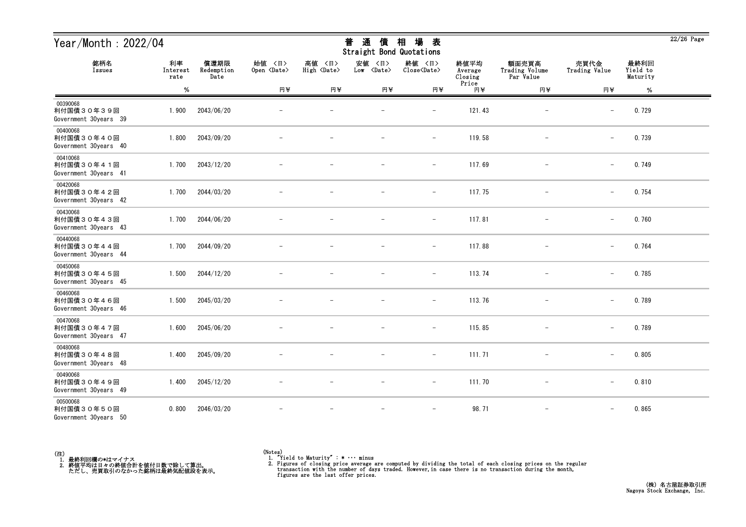| Year/Month: 2022/04                             |                        |                            |                              |                              | 通<br>普<br>債<br>Straight Bond Quotations | 場<br>相<br>表                   |                            |                                      |                          |                              | $22/26$ Page |
|-------------------------------------------------|------------------------|----------------------------|------------------------------|------------------------------|-----------------------------------------|-------------------------------|----------------------------|--------------------------------------|--------------------------|------------------------------|--------------|
| 銘柄名<br>Issues                                   | 利率<br>Interest<br>rate | 償還期限<br>Redemption<br>Date | 始值 〈日〉<br>Open <date></date> | 高値 〈日〉<br>High <date></date> | 安値<br>〈日〉<br>Low <date></date>          | 終値 〈日〉<br>Close <date></date> | 終値平均<br>Average<br>Closing | 額面売買高<br>Trading Volume<br>Par Value | 売買代金<br>Trading Value    | 最終利回<br>Yield to<br>Maturity |              |
|                                                 | $\%$                   |                            | 円半                           | 円半                           | 円半                                      | 円半                            | Price<br>円半                | 円半                                   | 円半                       | $\%$                         |              |
| 00390068<br>利付国債30年39回<br>Government 30years 39 | 1.900                  | 2043/06/20                 |                              |                              |                                         |                               | 121.43                     |                                      |                          | 0.729                        |              |
| 00400068<br>利付国債30年40回<br>Government 30years 40 | 1.800                  | 2043/09/20                 |                              |                              |                                         | $\qquad \qquad -$             | 119.58                     | $\overline{\phantom{a}}$             | $\overline{\phantom{0}}$ | 0.739                        |              |
| 00410068<br>利付国債30年41回<br>Government 30years 41 | 1.700                  | 2043/12/20                 |                              |                              |                                         | $\qquad \qquad -$             | 117.69                     |                                      | $\overline{\phantom{m}}$ | 0.749                        |              |
| 00420068<br>利付国債30年42回<br>Government 30years 42 | 1.700                  | 2044/03/20                 |                              |                              |                                         | $\overline{\phantom{m}}$      | 117.75                     |                                      | $-$                      | 0.754                        |              |
| 00430068<br>利付国債30年43回<br>Government 30years 43 | 1.700                  | 2044/06/20                 |                              |                              |                                         | $\qquad \qquad -$             | 117.81                     |                                      | $\overline{\phantom{m}}$ | 0.760                        |              |
| 00440068<br>利付国債30年44回<br>Government 30years 44 | 1.700                  | 2044/09/20                 |                              |                              |                                         | $\overline{\phantom{m}}$      | 117.88                     | $\overline{\phantom{m}}$             | $\overline{\phantom{m}}$ | 0.764                        |              |
| 00450068<br>利付国債30年45回<br>Government 30years 45 | 1.500                  | 2044/12/20                 |                              |                              |                                         | $\overline{\phantom{m}}$      | 113.74                     | $\overline{\phantom{m}}$             | $\qquad \qquad -$        | 0.785                        |              |
| 00460068<br>利付国債30年46回<br>Government 30years 46 | 1.500                  | 2045/03/20                 |                              |                              |                                         | $\overline{\phantom{a}}$      | 113.76                     |                                      | $\qquad \qquad -$        | 0.789                        |              |
| 00470068<br>利付国債30年47回<br>Government 30years 47 | 1.600                  | 2045/06/20                 |                              |                              |                                         | $\overline{\phantom{0}}$      | 115.85                     |                                      | $\overline{\phantom{m}}$ | 0.789                        |              |
| 00480068<br>利付国債30年48回<br>Government 30years 48 | 1.400                  | 2045/09/20                 |                              |                              | $\overline{\phantom{m}}$                | $\overline{\phantom{a}}$      | 111.71                     | $\qquad \qquad -$                    | $\overline{\phantom{0}}$ | 0.805                        |              |
| 00490068<br>利付国債30年49回<br>Government 30years 49 | 1.400                  | 2045/12/20                 | $\overline{\phantom{m}}$     | $\overline{\phantom{m}}$     | $\overline{\phantom{m}}$                | $ \,$                         | 111.70                     | $-$                                  | $-$                      | 0.810                        |              |
| 00500068<br>利付国債30年50回<br>Government 30years 50 | 0.800                  | 2046/03/20                 |                              | $\overline{\phantom{m}}$     | $\overline{\phantom{m}}$                | $\overline{\phantom{m}}$      | 98.71                      | $-$                                  | $\qquad \qquad -$        | 0.865                        |              |



<sup>(</sup>Notes) 1. "Yield to Maturity" : \* ・・・ minus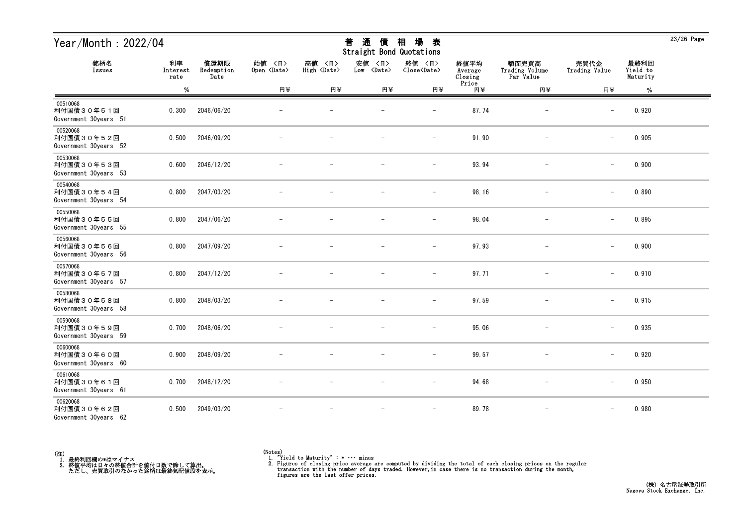| Year/Month: 2022/04                             |                        |                            |                              |                              | 通<br>普<br>債<br>Straight Bond Quotations | 場<br>相<br>表                   |                            |                                      |                          |                              | $23/26$ Page |
|-------------------------------------------------|------------------------|----------------------------|------------------------------|------------------------------|-----------------------------------------|-------------------------------|----------------------------|--------------------------------------|--------------------------|------------------------------|--------------|
| 銘柄名<br>Issues                                   | 利率<br>Interest<br>rate | 償還期限<br>Redemption<br>Date | 始值 〈日〉<br>Open <date></date> | 高値 〈日〉<br>High <date></date> | 安値<br>〈日〉<br>Low <date></date>          | 終値 〈日〉<br>Close <date></date> | 終値平均<br>Average<br>Closing | 額面売買高<br>Trading Volume<br>Par Value | 売買代金<br>Trading Value    | 最終利回<br>Yield to<br>Maturity |              |
|                                                 | $\%$                   |                            | 円半                           | 円半                           | 円半                                      | 円半                            | Price<br>円半                | 円半                                   | 円半                       | $\%$                         |              |
| 00510068<br>利付国債30年51回<br>Government 30years 51 | 0.300                  | 2046/06/20                 |                              |                              |                                         |                               | 87.74                      |                                      |                          | 0.920                        |              |
| 00520068<br>利付国債30年52回<br>Government 30years 52 | 0.500                  | 2046/09/20                 |                              |                              |                                         | $\overline{\phantom{a}}$      | 91.90                      | $\qquad \qquad -$                    | $\overline{\phantom{0}}$ | 0.905                        |              |
| 00530068<br>利付国債30年53回<br>Government 30years 53 | 0.600                  | 2046/12/20                 |                              |                              |                                         |                               | 93.94                      |                                      | $\qquad \qquad -$        | 0.900                        |              |
| 00540068<br>利付国債30年54回<br>Government 30years 54 | 0.800                  | 2047/03/20                 |                              |                              |                                         | $\overline{\phantom{a}}$      | 98.16                      |                                      | $\qquad \qquad -$        | 0.890                        |              |
| 00550068<br>利付国債30年55回<br>Government 30years 55 | 0.800                  | 2047/06/20                 |                              |                              |                                         |                               | 98.04                      |                                      | $\overline{\phantom{m}}$ | 0.895                        |              |
| 00560068<br>利付国債30年56回<br>Government 30years 56 | 0.800                  | 2047/09/20                 |                              |                              |                                         | $\qquad \qquad -$             | 97.93                      | $\qquad \qquad -$                    | $\qquad \qquad -$        | 0.900                        |              |
| 00570068<br>利付国債30年57回<br>Government 30years 57 | 0.800                  | 2047/12/20                 |                              |                              |                                         | $\overline{\phantom{a}}$      | 97.71                      | $\overline{\phantom{m}}$             | $\qquad \qquad -$        | 0.910                        |              |
| 00580068<br>利付国債30年58回<br>Government 30years 58 | 0.800                  | 2048/03/20                 |                              |                              |                                         | $\overline{\phantom{m}}$      | 97.59                      |                                      | $\qquad \qquad -$        | 0.915                        |              |
| 00590068<br>利付国債30年59回<br>Government 30years 59 | 0.700                  | 2048/06/20                 |                              |                              |                                         |                               | 95.06                      |                                      | $\overline{\phantom{m}}$ | 0.935                        |              |
| 00600068<br>利付国債30年60回<br>Government 30years 60 | 0.900                  | 2048/09/20                 |                              |                              |                                         | $\qquad \qquad -$             | 99.57                      |                                      | $\overline{\phantom{0}}$ | 0.920                        |              |
| 00610068<br>利付国債30年61回<br>Government 30years 61 | 0.700                  | 2048/12/20                 | $\overline{\phantom{m}}$     |                              | $\overline{\phantom{m}}$                | $-$                           | 94.68                      | $-$                                  | $\qquad \qquad -$        | 0.950                        |              |
| 00620068<br>利付国債30年62回<br>Government 30years 62 | 0.500                  | 2049/03/20                 |                              |                              | $\overline{\phantom{a}}$                | $\overline{\phantom{m}}$      | 89.78                      | $\overline{\phantom{m}}$             | $\qquad \qquad -$        | 0.980                        |              |



<sup>(</sup>Notes) 1. "Yield to Maturity" : \* ・・・ minus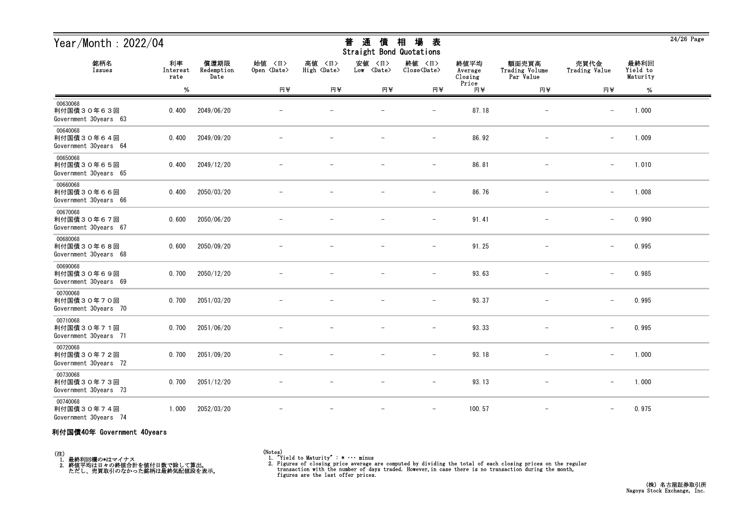| Year/Month: 2022/04                             |                        |                            |                              |                              | 通<br>普<br>價<br>Straight Bond Quotations | 場<br>相<br>表                           |                            |                                      |                          |                              | $24/26$ Page |
|-------------------------------------------------|------------------------|----------------------------|------------------------------|------------------------------|-----------------------------------------|---------------------------------------|----------------------------|--------------------------------------|--------------------------|------------------------------|--------------|
| 銘柄名<br>Issues                                   | 利率<br>Interest<br>rate | 償還期限<br>Redemption<br>Date | 始值 〈日〉<br>Open <date></date> | 高値 〈日〉<br>High <date></date> | 安値 〈日〉<br>Low <date></date>             | 終値 〈日〉<br>$Close\langle Date \rangle$ | 終値平均<br>Average<br>Closing | 額面売買高<br>Trading Volume<br>Par Value | 売買代金<br>Trading Value    | 最終利回<br>Yield to<br>Maturity |              |
|                                                 | $\%$                   |                            | 円半                           | 円半                           | 円半                                      | 円半                                    | Price<br>円半                | 円半                                   | 円半                       | $\%$                         |              |
| 00630068<br>利付国債30年63回<br>Government 30years 63 | 0.400                  | 2049/06/20                 |                              |                              |                                         | $\qquad \qquad -$                     | 87.18                      |                                      | $\overline{\phantom{m}}$ | 1.000                        |              |
| 00640068<br>利付国債30年64回<br>Government 30years 64 | 0.400                  | 2049/09/20                 |                              |                              |                                         | $\overline{\phantom{m}}$              | 86.92                      |                                      | $-$                      | 1.009                        |              |
| 00650068<br>利付国債30年65回<br>Government 30years 65 | 0.400                  | 2049/12/20                 |                              |                              |                                         | $\overline{\phantom{0}}$              | 86.81                      |                                      | $\overline{\phantom{m}}$ | 1.010                        |              |
| 00660068<br>利付国債30年66回<br>Government 30years 66 | 0.400                  | 2050/03/20                 |                              |                              |                                         | $\overline{\phantom{a}}$              | 86.76                      |                                      | $\overline{\phantom{m}}$ | 1.008                        |              |
| 00670068<br>利付国債30年67回<br>Government 30years 67 | 0.600                  | 2050/06/20                 |                              |                              |                                         | $\overline{\phantom{m}}$              | 91.41                      |                                      | $\overline{\phantom{m}}$ | 0.990                        |              |
| 00680068<br>利付国債30年68回<br>Government 30years 68 | 0.600                  | 2050/09/20                 |                              |                              |                                         | $\overline{\phantom{0}}$              | 91.25                      |                                      |                          | 0.995                        |              |
| 00690068<br>利付国債30年69回<br>Government 30years 69 | 0.700                  | 2050/12/20                 |                              |                              |                                         |                                       | 93.63                      |                                      |                          | 0.985                        |              |
| 00700068<br>利付国債30年70回<br>Government 30years 70 | 0.700                  | 2051/03/20                 |                              |                              |                                         | $\qquad \qquad -$                     | 93.37                      |                                      | $\overline{\phantom{m}}$ | 0.995                        |              |
| 00710068<br>利付国債30年71回<br>Government 30years 71 | 0.700                  | 2051/06/20                 |                              |                              |                                         | $\overline{\phantom{m}}$              | 93.33                      |                                      | $\overline{\phantom{m}}$ | 0.995                        |              |
| 00720068<br>利付国債30年72回<br>Government 30years 72 | 0.700                  | 2051/09/20                 |                              | $\overline{\phantom{m}}$     | $\overline{\phantom{m}}$                | $\overline{\phantom{m}}$              | 93.18                      |                                      | $\overline{\phantom{m}}$ | 1.000                        |              |
| 00730068<br>利付国債30年73回<br>Government 30years 73 | 0.700                  | 2051/12/20                 |                              |                              |                                         | $\overline{\phantom{0}}$              | 93.13                      | $\overline{\phantom{0}}$             | $\overline{\phantom{m}}$ | 1.000                        |              |
| 00740068<br>利付国債30年74回<br>Government 30years 74 | 1.000                  | 2052/03/20                 |                              |                              | $\qquad \qquad -$                       | $-$                                   | 100.57                     | $\overline{\phantom{m}}$             | $-$                      | 0.975                        |              |

#### 利付国債40年 Government 40years

(注)<br>- 1.最終利回欄の\*はマイナス<br>- 2.終値平均は日々の終値合計を値付日数で除して算出。<br>- ただし、売買取引のなかった銘柄は最終気配値段を表示。

(Notes) 1. "Yield to Maturity" : \* ・・・ minus

2. Figures of closing price average are computed by dividing the total of each closing prices on the regular transaction with the number of days traded. However, in case there is no transaction during the month, figures ar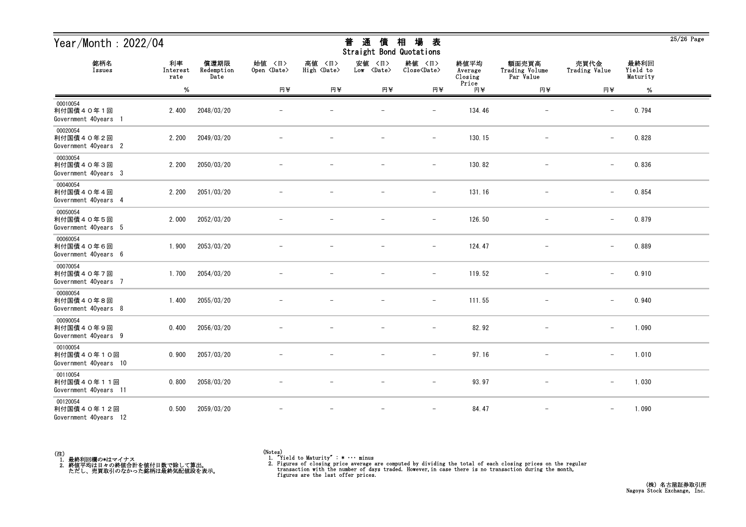| Year/Month: 2022/04                             |                        | 場<br>通<br>相<br>普<br>債<br>表<br><b>Straight Bond Quotations</b> |                              |                              |                                |                               |                            |                                      | $25/26$ Page             |                              |  |
|-------------------------------------------------|------------------------|---------------------------------------------------------------|------------------------------|------------------------------|--------------------------------|-------------------------------|----------------------------|--------------------------------------|--------------------------|------------------------------|--|
| 銘柄名<br>Issues                                   | 利率<br>Interest<br>rate | 償還期限<br>Redemption<br>Date                                    | 始値 〈日〉<br>Open <date></date> | 高値 〈日〉<br>High <date></date> | 安値<br>〈日〉<br>Low <date></date> | 終値 〈日〉<br>Close <date></date> | 終値平均<br>Average<br>Closing | 額面売買高<br>Trading Volume<br>Par Value | 売買代金<br>Trading Value    | 最終利回<br>Yield to<br>Maturity |  |
|                                                 | %                      |                                                               | 円半                           | 円半                           | 円半                             | 円半                            | Price<br>円半                | 円半                                   | 円半                       | $\%$                         |  |
| 00010054<br>利付国債40年1回<br>Government 40years 1   | 2.400                  | 2048/03/20                                                    |                              |                              |                                | $\overline{\phantom{m}}$      | 134.46                     | $\overline{\phantom{m}}$             | $\overline{\phantom{m}}$ | 0.794                        |  |
| 00020054<br>利付国債40年2回<br>Government 40years 2   | 2.200                  | 2049/03/20                                                    |                              |                              |                                | $\overline{\phantom{m}}$      | 130.15                     | $\overline{\phantom{m}}$             | $\qquad \qquad -$        | 0.828                        |  |
| 00030054<br>利付国債40年3回<br>Government 40years 3   | 2.200                  | 2050/03/20                                                    |                              |                              |                                | $\overline{\phantom{m}}$      | 130.82                     |                                      | $\overline{\phantom{m}}$ | 0.836                        |  |
| 00040054<br>利付国債40年4回<br>Government 40years 4   | 2.200                  | 2051/03/20                                                    |                              |                              |                                | $\qquad \qquad -$             | 131.16                     |                                      | $\overline{\phantom{m}}$ | 0.854                        |  |
| 00050054<br>利付国債40年5回<br>Government 40years 5   | 2.000                  | 2052/03/20                                                    |                              |                              |                                | $\overline{\phantom{m}}$      | 126.50                     |                                      | $\overline{\phantom{m}}$ | 0.879                        |  |
| 00060054<br>利付国債40年6回<br>Government 40years 6   | 1.900                  | 2053/03/20                                                    |                              |                              |                                | $\overline{\phantom{m}}$      | 124.47                     |                                      | $\overline{\phantom{m}}$ | 0.889                        |  |
| 00070054<br>利付国債40年7回<br>Government 40years 7   | 1.700                  | 2054/03/20                                                    |                              |                              |                                | $\overline{\phantom{m}}$      | 119.52                     |                                      | $\overline{\phantom{m}}$ | 0.910                        |  |
| 00080054<br>利付国債40年8回<br>Government 40years 8   | 1.400                  | 2055/03/20                                                    |                              |                              |                                |                               | 111.55                     |                                      | $\overline{\phantom{m}}$ | 0.940                        |  |
| 00090054<br>利付国債40年9回<br>Government 40years 9   | 0.400                  | 2056/03/20                                                    |                              |                              |                                | -                             | 82.92                      |                                      | $\qquad \qquad -$        | 1.090                        |  |
| 00100054<br>利付国債40年10回<br>Government 40years 10 | 0.900                  | 2057/03/20                                                    |                              |                              |                                | $\overline{\phantom{m}}$      | 97.16                      |                                      | $\qquad \qquad -$        | 1.010                        |  |
| 00110054<br>利付国債40年11回<br>Government 40years 11 | 0.800                  | 2058/03/20                                                    | $\overline{\phantom{m}}$     | $\overline{\phantom{m}}$     | $\overline{\phantom{m}}$       | $-$                           | 93.97                      | $\overline{\phantom{m}}$             | $-$                      | 1.030                        |  |
| 00120054<br>利付国債40年12回<br>Government 40years 12 | 0.500                  | 2059/03/20                                                    |                              |                              |                                | $\overline{\phantom{m}}$      | 84.47                      | $\qquad \qquad -$                    | $\qquad \qquad -$        | 1.090                        |  |



 $\overline{25/26}$  Page

## 普 通 債 相 場 表

<sup>(</sup>Notes) 1. "Yield to Maturity" : \* ・・・ minus